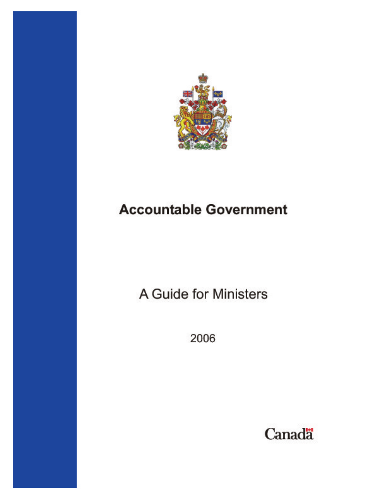

# **Accountable Government**

A Guide for Ministers

2006

Canadä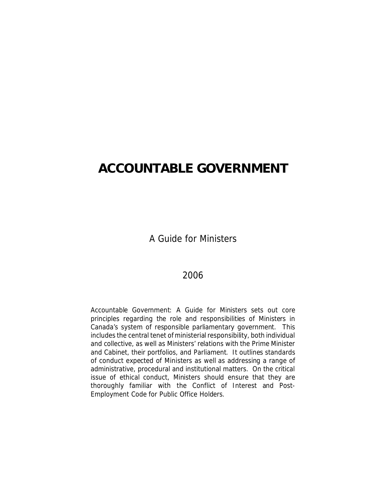### **ACCOUNTABLE GOVERNMENT**

A Guide for Ministers

### 2006

*Accountable Government: A Guide for Ministers* sets out core principles regarding the role and responsibilities of Ministers in Canada's system of responsible parliamentary government. This includes the central tenet of ministerial responsibility, both individual and collective, as well as Ministers' relations with the Prime Minister and Cabinet, their portfolios, and Parliament. It outlines standards of conduct expected of Ministers as well as addressing a range of administrative, procedural and institutional matters. On the critical issue of ethical conduct, Ministers should ensure that they are thoroughly familiar with the *Conflict of Interest and Post-Employment Code for Public Office Holders*.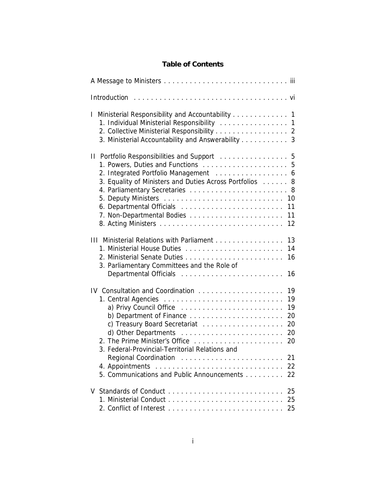### **Table of Contents**

| Introduction                                                                                                                                                                                                                                                                    |
|---------------------------------------------------------------------------------------------------------------------------------------------------------------------------------------------------------------------------------------------------------------------------------|
| Ministerial Responsibility and Accountability 1<br>1. Individual Ministerial Responsibility  1<br>2. Collective Ministerial Responsibility 2<br>3. Ministerial Accountability and Answerability 3                                                                               |
| II Portfolio Responsibilities and Support  5<br>5<br>2. Integrated Portfolio Management 6<br>3. Equality of Ministers and Duties Across Portfolios<br>8<br>12                                                                                                                   |
| 13<br>III Ministerial Relations with Parliament<br>1. Ministerial House Duties<br>14<br>16<br>3. Parliamentary Committees and the Role of<br>Departmental Officials<br>16                                                                                                       |
| IV Consultation and Coordination<br>19<br>19<br>19<br>a) Privy Council Office<br>b) Department of Finance<br>20<br>c) Treasury Board Secretariat<br>20<br>d) Other Departments<br>20<br>2. The Prime Minister's Office<br>20<br>3. Federal-Provincial-Territorial Relations and |
| Regional Coordination<br>21<br>22<br>5. Communications and Public Announcements<br>22                                                                                                                                                                                           |
| 25<br>25                                                                                                                                                                                                                                                                        |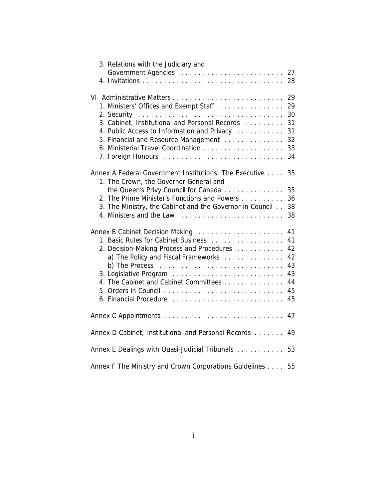| 3. Relations with the Judiciary and                                                    |    |
|----------------------------------------------------------------------------------------|----|
|                                                                                        | 27 |
|                                                                                        | 28 |
|                                                                                        |    |
|                                                                                        | 29 |
| 1. Ministers' Offices and Exempt Staff                                                 | 29 |
|                                                                                        | 30 |
| 3. Cabinet, Institutional and Personal Records                                         | 31 |
| 4. Public Access to Information and Privacy                                            | 31 |
| 5. Financial and Resource Management                                                   | 32 |
|                                                                                        | 33 |
|                                                                                        | 34 |
|                                                                                        |    |
| Annex A Federal Government Institutions: The Executive                                 | 35 |
|                                                                                        |    |
| 1. The Crown, the Governor General and                                                 |    |
| the Queen's Privy Council for Canada                                                   | 35 |
| 2. The Prime Minister's Functions and Powers                                           | 36 |
| 3. The Ministry, the Cabinet and the Governor in Council                               | 38 |
| 4. Ministers and the Law                                                               | 38 |
|                                                                                        |    |
| Annex B Cabinet Decision Making                                                        | 41 |
| 1. Basic Rules for Cabinet Business                                                    | 41 |
| 2. Decision-Making Process and Procedures                                              | 42 |
| a) The Policy and Fiscal Frameworks                                                    | 42 |
| b) The Process $\ldots \ldots \ldots \ldots \ldots \ldots \ldots \ldots \ldots \ldots$ | 43 |
|                                                                                        | 43 |
| 4. The Cabinet and Cabinet Committees                                                  | 44 |
|                                                                                        | 45 |
| 6. Financial Procedure                                                                 | 45 |
|                                                                                        |    |
|                                                                                        | 47 |
|                                                                                        |    |
| Annex D Cabinet, Institutional and Personal Records                                    | 49 |
|                                                                                        |    |
| Annex E Dealings with Quasi-Judicial Tribunals                                         | 53 |
|                                                                                        |    |
| Annex F The Ministry and Crown Corporations Guidelines                                 | 55 |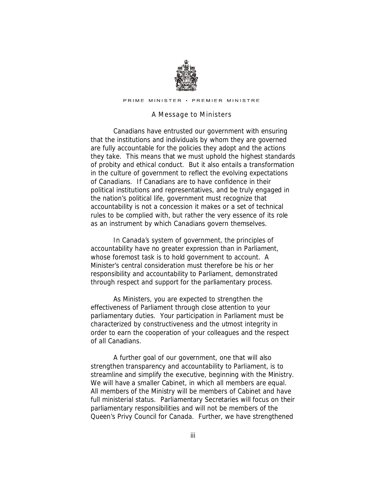

PRIME MINISTER · PREMIER MINISTRE

#### *A Message to M inisters*

Canadians have entrusted our government with ensuring that the institutions and individuals by whom they are governed are fully accountable for the policies they adopt and the actions they take. This means that we must uphold the highest standards of probity and ethical conduct. But it also entails a transformation in the culture of government to reflect the evolving expectations of Canadians. If Canadians are to have confidence in their political institutions and representatives, and be truly engaged in the nation's political life, government must recognize that accountability is not a concession it makes or a set of technical rules to be complied with, but rather the very essence of its role as an instrument by which Canadians govern themselves.

In Canada's system of government, the principles of accountability have no greater expression than in Parliament, whose foremost task is to hold government to account. A Minister's central consideration must therefore be his or her responsibility and accountability to Parliament, demonstrated through respect and support for the parliamentary process.

As Ministers, you are expected to strengthen the effectiveness of Parliament through close attention to your parliamentary duties. Your participation in Parliament must be characterized by constructiveness and the utmost integrity in order to earn the cooperation of your colleagues and the respect of all Canadians.

A further goal of our government, one that will also strengthen transparency and accountability to Parliament, is to streamline and simplify the executive, beginning with the Ministry. We will have a smaller Cabinet, in which all members are equal. All members of the Ministry will be members of Cabinet and have full ministerial status. Parliamentary Secretaries will focus on their parliamentary responsibilities and will not be members of the Queen's Privy Council for Canada. Further, we have strengthened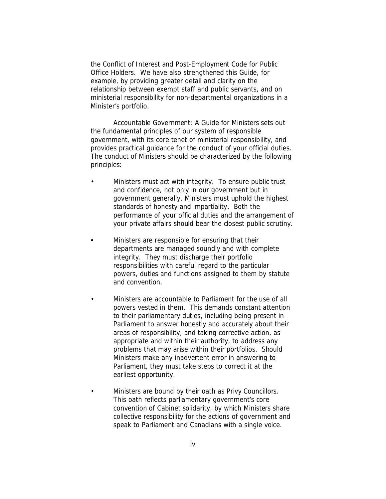the *Conflict of Interest and Post-Employment Code for Public Office Holders*. We have also strengthened this Guide, for example, by providing greater detail and clarity on the relationship between exempt staff and public servants, and on ministerial responsibility for non-departmental organizations in a Minister's portfolio.

*Accountable Government: A Guide for Ministers* sets out the fundamental principles of our system of responsible government, with its core tenet of ministerial responsibility, and provides practical guidance for the conduct of your official duties. The conduct of Ministers should be characterized by the following principles:

- Ministers must act with integrity. To ensure public trust and confidence, not only in our government but in government generally, Ministers must uphold the highest standards of honesty and impartiality. Both the performance of your official duties and the arrangement of your private affairs should bear the closest public scrutiny.
- Ministers are responsible for ensuring that their departments are managed soundly and with complete integrity. They must discharge their portfolio responsibilities with careful regard to the particular powers, duties and functions assigned to them by statute and convention.
- Ministers are accountable to Parliament for the use of all powers vested in them. This demands constant attention to their parliamentary duties, including being present in Parliament to answer honestly and accurately about their areas of responsibility, and taking corrective action, as appropriate and within their authority, to address any problems that may arise within their portfolios. Should Ministers make any inadvertent error in answering to Parliament, they must take steps to correct it at the earliest opportunity.
- Ministers are bound by their oath as Privy Councillors. This oath reflects parliamentary government's core convention of Cabinet solidarity, by which Ministers share collective responsibility for the actions of government and speak to Parliament and Canadians with a single voice.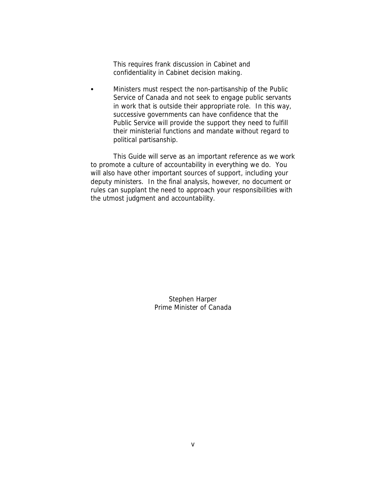This requires frank discussion in Cabinet and confidentiality in Cabinet decision making.

Ministers must respect the non-partisanship of the Public Service of Canada and not seek to engage public servants in work that is outside their appropriate role. In this way, successive governments can have confidence that the Public Service will provide the support they need to fulfill their ministerial functions and mandate without regard to political partisanship.

This Guide will serve as an important reference as we work to promote a culture of accountability in everything we do. You will also have other important sources of support, including your deputy ministers. In the final analysis, however, no document or rules can supplant the need to approach your responsibilities with the utmost judgment and accountability.

> Stephen Harper Prime Minister of Canada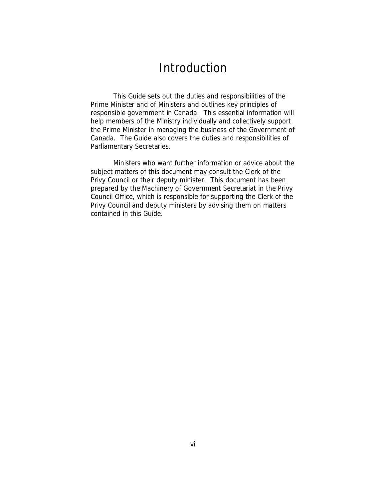### Introduction

This Guide sets out the duties and responsibilities of the Prime Minister and of Ministers and outlines key principles of responsible government in Canada. This essential information will help members of the Ministry individually and collectively support the Prime Minister in managing the business of the Government of Canada. The Guide also covers the duties and responsibilities of Parliamentary Secretaries.

Ministers who want further information or advice about the subject matters of this document may consult the Clerk of the Privy Council or their deputy minister. This document has been prepared by the Machinery of Government Secretariat in the Privy Council Office, which is responsible for supporting the Clerk of the Privy Council and deputy ministers by advising them on matters contained in this Guide.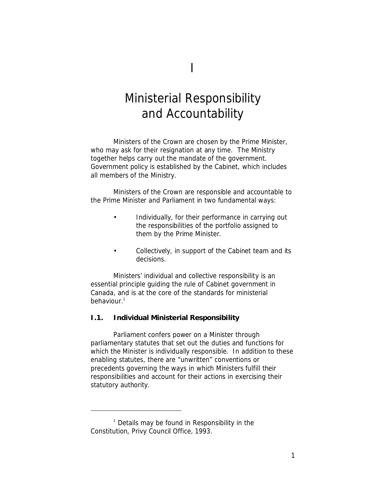## Ministerial Responsibility and Accountability

Ministers of the Crown are chosen by the Prime Minister, who may ask for their resignation at any time. The Ministry together helps carry out the mandate of the government. Government policy is established by the Cabinet, which includes all members of the Ministry.

Ministers of the Crown are responsible and accountable to the Prime Minister and Parliament in two fundamental ways:

- Individually, for their performance in carrying out the responsibilities of the portfolio assigned to them by the Prime Minister.
- Collectively, in support of the Cabinet team and its decisions.

Ministers' individual and collective responsibility is an essential principle guiding the rule of Cabinet government in Canada, and is at the core of the standards for ministerial behaviour.<sup>1</sup>

### **I.1. Individual Ministerial Responsibility**

Parliament confers power on a Minister through parliamentary statutes that set out the duties and functions for which the Minister is individually responsible. In addition to these enabling statutes, there are "unwritten" conventions or precedents governing the ways in which Ministers fulfill their responsibilities and account for their actions in exercising their statutory authority.

<sup>1</sup> Details may be found in *Responsibility in the Constitution*, Privy Council Office, 1993.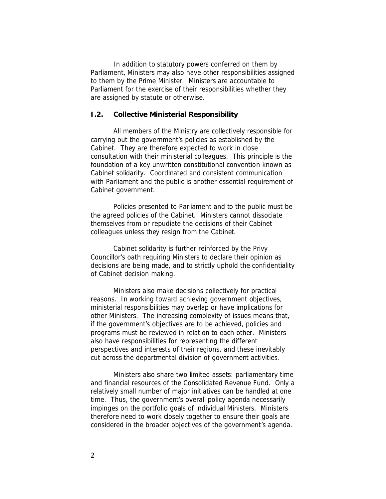In addition to statutory powers conferred on them by Parliament, Ministers may also have other responsibilities assigned to them by the Prime Minister. Ministers are accountable to Parliament for the exercise of their responsibilities whether they are assigned by statute or otherwise.

### **I.2. Collective Ministerial Responsibility**

All members of the Ministry are collectively responsible for carrying out the government's policies as established by the Cabinet. They are therefore expected to work in close consultation with their ministerial colleagues. This principle is the foundation of a key unwritten constitutional convention known as Cabinet solidarity. Coordinated and consistent communication with Parliament and the public is another essential requirement of Cabinet government.

Policies presented to Parliament and to the public must be the agreed policies of the Cabinet. Ministers cannot dissociate themselves from or repudiate the decisions of their Cabinet colleagues unless they resign from the Cabinet.

Cabinet solidarity is further reinforced by the Privy Councillor's oath requiring Ministers to declare their opinion as decisions are being made, and to strictly uphold the confidentiality of Cabinet decision making.

Ministers also make decisions collectively for practical reasons. In working toward achieving government objectives, ministerial responsibilities may overlap or have implications for other Ministers. The increasing complexity of issues means that, if the government's objectives are to be achieved, policies and programs must be reviewed in relation to each other. Ministers also have responsibilities for representing the different perspectives and interests of their regions, and these inevitably cut across the departmental division of government activities.

Ministers also share two limited assets: parliamentary time and financial resources of the Consolidated Revenue Fund. Only a relatively small number of major initiatives can be handled at one time. Thus, the government's overall policy agenda necessarily impinges on the portfolio goals of individual Ministers. Ministers therefore need to work closely together to ensure their goals are considered in the broader objectives of the government's agenda.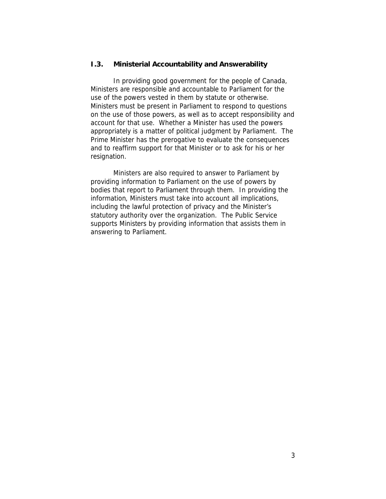### **I.3. Ministerial Accountability and Answerability**

In providing good government for the people of Canada, Ministers are responsible and *accountable to Parliament* for the use of the powers vested in them by statute or otherwise. Ministers must be present in Parliament to respond to questions on the use of those powers, as well as to accept responsibility and account for that use. Whether a Minister has used the powers appropriately is a matter of political judgment by Parliament. The Prime Minister has the prerogative to evaluate the consequences and to reaffirm support for that Minister or to ask for his or her resignation.

Ministers are also required to *answer to Parliament* by providing information to Parliament on the use of powers by bodies that report to Parliament through them. In providing the information, Ministers must take into account all implications, including the lawful protection of privacy and the Minister's statutory authority over the organization. The Public Service supports Ministers by providing information that assists them in answering to Parliament.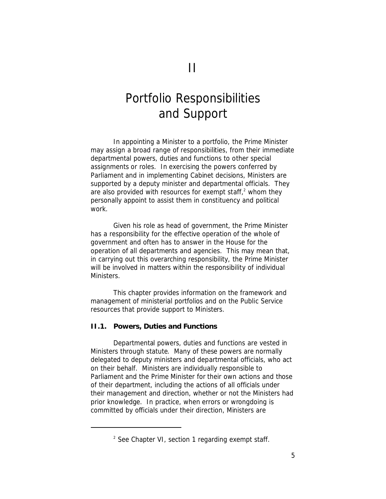## Portfolio Responsibilities and Support

In appointing a Minister to a portfolio, the Prime Minister may assign a broad range of responsibilities, from their immediate departmental powers, duties and functions to other special assignments or roles. In exercising the powers conferred by Parliament and in implementing Cabinet decisions, Ministers are supported by a deputy minister and departmental officials. They are also provided with resources for exempt staff, $^2$  whom they personally appoint to assist them in constituency and political work.

Given his role as head of government, the Prime Minister has a responsibility for the effective operation of the whole of government and often has to answer in the House for the operation of all departments and agencies. This may mean that, in carrying out this overarching responsibility, the Prime Minister will be involved in matters within the responsibility of individual Ministers.

This chapter provides information on the framework and management of ministerial portfolios and on the Public Service resources that provide support to Ministers.

**II.1. Powers, Duties and Functions**

Departmental *powers, duties and functions* are vested in Ministers through statute. Many of these powers are normally delegated to deputy ministers and departmental officials, who act on their behalf. Ministers are individually responsible to Parliament and the Prime Minister for their own actions and those of their department, including the actions of all officials under their management and direction, whether or not the Ministers had prior knowledge. In practice, when errors or wrongdoing is committed by officials under their direction, Ministers are

<sup>&</sup>lt;sup>2</sup> See Chapter VI, section 1 regarding exempt staff.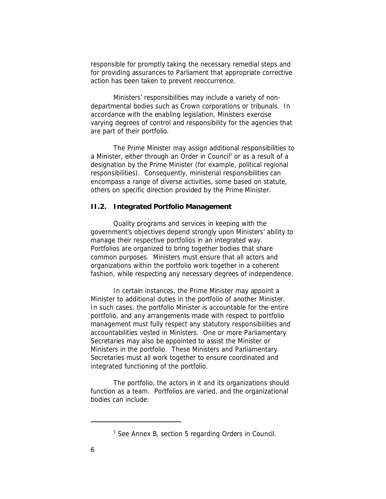responsible for promptly taking the necessary remedial steps and for providing assurances to Parliament that appropriate corrective action has been taken to prevent reoccurrence.

Ministers' responsibilities may include a variety of nondepartmental bodies such as Crown corporations or tribunals. In accordance with the enabling legislation, Ministers exercise varying degrees of control and responsibility for the agencies that are part of their portfolio.

The Prime Minister may assign additional responsibilities to a Minister, either through an Order in Council<sup>3</sup> or as a result of a designation by the Prime Minister (for example, political regional responsibilities). Consequently, ministerial responsibilities can encompass a range of diverse activities, some based on statute, others on specific direction provided by the Prime Minister.

### **II.2. Integrated Portfolio Management**

Quality programs and services in keeping with the government's objectives depend strongly upon Ministers' ability to manage their respective portfolios in an integrated way. Portfolios are organized to bring together bodies that share common purposes. Ministers must ensure that all actors and organizations within the portfolio work together in a coherent fashion, while respecting any necessary degrees of independence.

In certain instances, the Prime Minister may appoint a Minister to additional duties in the portfolio of another Minister. In such cases, the portfolio Minister is accountable for the entire portfolio, and any arrangements made with respect to portfolio management must fully respect any statutory responsibilities and accountabilities vested in Ministers. One or more Parliamentary Secretaries may also be appointed to assist the Minister or Ministers in the portfolio. These Ministers and Parliamentary Secretaries must all work together to ensure coordinated and integrated functioning of the portfolio.

The portfolio, the actors in it and its organizations should function as a team. Portfolios are varied, and the organizational bodies can include:

<sup>&</sup>lt;sup>3</sup> See Annex B, section 5 regarding Orders in Council.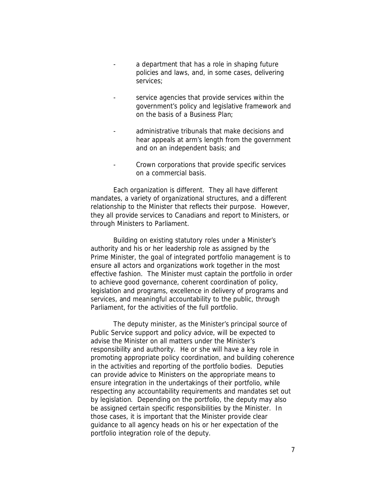- a department that has a role in shaping future policies and laws, and, in some cases, delivering services;
- service agencies that provide services within the government's policy and legislative framework and on the basis of a Business Plan;
- administrative tribunals that make decisions and hear appeals at arm's length from the government and on an independent basis; and
- Crown corporations that provide specific services on a commercial basis.

Each organization is different. They all have different mandates, a variety of organizational structures, and a different relationship to the Minister that reflects their purpose. However, they all provide services to Canadians and report to Ministers, or through Ministers to Parliament.

Building on existing statutory roles under a Minister's authority and his or her leadership role as assigned by the Prime Minister, the goal of integrated portfolio management is to ensure all actors and organizations work together in the most effective fashion. The Minister must captain the portfolio in order to achieve good governance, coherent coordination of policy, legislation and programs, excellence in delivery of programs and services, and meaningful accountability to the public, through Parliament, for the activities of the full portfolio.

The deputy minister, as the Minister's principal source of Public Service support and policy advice, will be expected to advise the Minister on all matters under the Minister's responsibility and authority. He or she will have a key role in promoting appropriate policy coordination, and building coherence in the activities and reporting of the portfolio bodies. Deputies can provide advice to Ministers on the appropriate means to ensure integration in the undertakings of their portfolio, while respecting any accountability requirements and mandates set out by legislation. Depending on the portfolio, the deputy may also be assigned certain specific responsibilities by the Minister. In those cases, it is important that the Minister provide clear guidance to all agency heads on his or her expectation of the portfolio integration role of the deputy.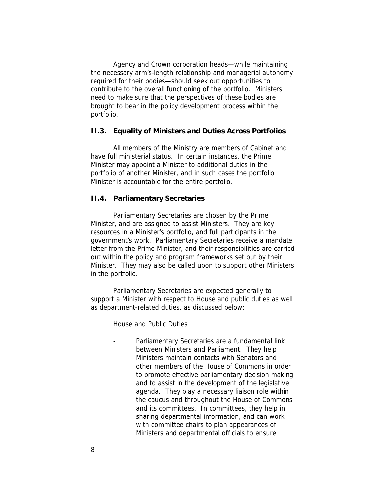Agency and Crown corporation heads—while maintaining the necessary arm's-length relationship and managerial autonomy required for their bodies—should seek out opportunities to contribute to the overall functioning of the portfolio. Ministers need to make sure that the perspectives of these bodies are brought to bear in the policy development process within the portfolio.

### **II.3. Equality of Ministers and Duties Across Portfolios**

All members of the Ministry are members of Cabinet and have full ministerial status. In certain instances, the Prime Minister may appoint a Minister to additional duties in the portfolio of another Minister, and in such cases the portfolio Minister is accountable for the entire portfolio.

### **II.4. Parliamentary Secretaries**

Parliamentary Secretaries are chosen by the Prime Minister, and are assigned to assist Ministers. They are key resources in a Minister's portfolio, and full participants in the government's work. Parliamentary Secretaries receive a mandate letter from the Prime Minister, and their responsibilities are carried out within the policy and program frameworks set out by their Minister. They may also be called upon to support other Ministers in the portfolio.

Parliamentary Secretaries are expected generally to support a Minister with respect to House and public duties as well as department-related duties, as discussed below:

*House and Public Duties*

Parliamentary Secretaries are a fundamental link between Ministers and Parliament. They help Ministers maintain contacts with Senators and other members of the House of Commons in order to promote effective parliamentary decision making and to assist in the development of the legislative agenda. They play a necessary liaison role within the caucus and throughout the House of Commons and its committees. In committees, they help in sharing departmental information, and can work with committee chairs to plan appearances of Ministers and departmental officials to ensure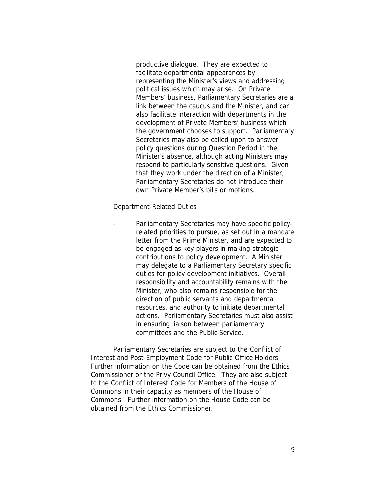productive dialogue. They are expected to facilitate departmental appearances by representing the Minister's views and addressing political issues which may arise. On Private Members' business, Parliamentary Secretaries are a link between the caucus and the Minister, and can also facilitate interaction with departments in the development of Private Members' business which the government chooses to support. Parliamentary Secretaries may also be called upon to answer policy questions during Question Period in the Minister's absence, although acting Ministers may respond to particularly sensitive questions. Given that they work under the direction of a Minister, Parliamentary Secretaries do not introduce their own Private Member's bills or motions.

*Department-Related Duties*

Parliamentary Secretaries may have specific policyrelated priorities to pursue, as set out in a mandate letter from the Prime Minister, and are expected to be engaged as key players in making strategic contributions to policy development. A Minister may delegate to a Parliamentary Secretary specific duties for policy development initiatives. Overall responsibility and accountability remains with the Minister, who also remains responsible for the direction of public servants and departmental resources, and authority to initiate departmental actions. Parliamentary Secretaries must also assist in ensuring liaison between parliamentary committees and the Public Service.

Parliamentary Secretaries are subject to the *Conflict of Interest and Post-Employment Code for Public Office Holders.*  Further information on the Code can be obtained from the Ethics Commissioner or the Privy Council Office. They are also subject to the *Conflict of Interest Code for Members of the House of Commons* in their capacity as members of the House of Commons. Further information on the House Code can be obtained from the Ethics Commissioner.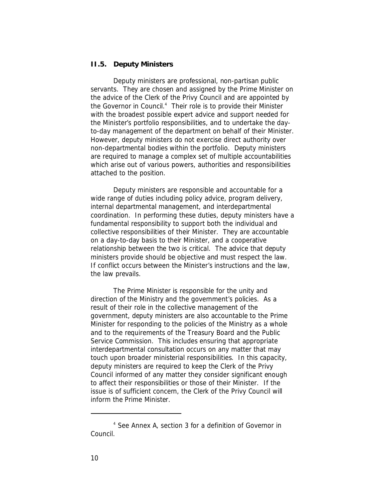### **II.5. Deputy Ministers**

Deputy ministers are professional, non-partisan public servants. They are chosen and assigned by the Prime Minister on the advice of the Clerk of the Privy Council and are appointed by the Governor in Council.<sup>4</sup> Their role is to provide their Minister with the broadest possible expert advice and support needed for the Minister's portfolio responsibilities, and to undertake the dayto-day management of the department on behalf of their Minister. However, deputy ministers do not exercise direct authority over non-departmental bodies within the portfolio. Deputy ministers are required to manage a complex set of multiple accountabilities which arise out of various powers, authorities and responsibilities attached to the position.

Deputy ministers are responsible and accountable for a wide range of duties including policy advice, program delivery, internal departmental management, and interdepartmental coordination. In performing these duties, deputy ministers have a fundamental responsibility to support both the individual and collective responsibilities of their Minister. They are accountable on a day-to-day basis to their Minister, and a cooperative relationship between the two is critical. The advice that deputy ministers provide should be objective and must respect the law. If conflict occurs between the Minister's instructions and the law, the law prevails.

The Prime Minister is responsible for the unity and direction of the Ministry and the government's policies. As a result of their role in the collective management of the government, deputy ministers are also accountable to the Prime Minister for responding to the policies of the Ministry as a whole and to the requirements of the Treasury Board and the Public Service Commission. This includes ensuring that appropriate interdepartmental consultation occurs on any matter that may touch upon broader ministerial responsibilities. In this capacity, deputy ministers are required to keep the Clerk of the Privy Council informed of any matter they consider significant enough to affect their responsibilities or those of their Minister. If the issue is of sufficient concern, the Clerk of the Privy Council will inform the Prime Minister.

<sup>4</sup> See Annex A, section 3 for a definition of Governor in Council.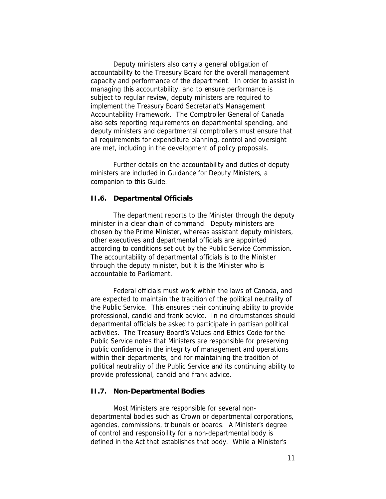Deputy ministers also carry a general obligation of accountability to the Treasury Board for the overall management capacity and performance of the department. In order to assist in managing this accountability, and to ensure performance is subject to regular review, deputy ministers are required to implement the Treasury Board Secretariat's Management Accountability Framework. The Comptroller General of Canada also sets reporting requirements on departmental spending, and deputy ministers and departmental comptrollers must ensure that all requirements for expenditure planning, control and oversight are met, including in the development of policy proposals.

Further details on the accountability and duties of deputy ministers are included in *Guidance for Deputy Ministers*, a companion to this Guide.

### **II.6. Departmental Officials**

The department reports to the Minister through the deputy minister in a clear chain of command. Deputy ministers are chosen by the Prime Minister, whereas assistant deputy ministers, other executives and departmental officials are appointed according to conditions set out by the Public Service Commission. The accountability of departmental officials is to the Minister through the deputy minister, but it is the Minister who is accountable to Parliament.

Federal officials must work within the laws of Canada, and are expected to maintain the tradition of the political neutrality of the Public Service. This ensures their continuing ability to provide professional, candid and frank advice. In no circumstances should departmental officials be asked to participate in partisan political activities. The Treasury Board's *Values and Ethics Code for the Public Service* notes that Ministers are responsible for preserving public confidence in the integrity of management and operations within their departments, and for maintaining the tradition of political neutrality of the Public Service and its continuing ability to provide professional, candid and frank advice.

### **II.7. Non-Departmental Bodies**

Most Ministers are responsible for several nondepartmental bodies such as Crown or departmental corporations, agencies, commissions, tribunals or boards. A Minister's degree of control and responsibility for a non-departmental body is defined in the Act that establishes that body. While a Minister's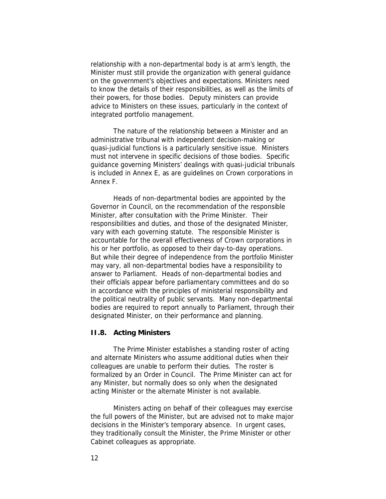relationship with a non-departmental body is at arm's length, the Minister must still provide the organization with general guidance on the government's objectives and expectations. *Ministers need to know the details of their responsibilities, as well as the limits of their powers, for those bodies*. Deputy ministers can provide advice to Ministers on these issues, particularly in the context of integrated portfolio management.

The nature of the relationship between a Minister and an administrative tribunal with independent decision-making or quasi-judicial functions is a particularly sensitive issue. Ministers must not intervene in specific decisions of those bodies. Specific guidance governing Ministers' dealings with quasi-judicial tribunals is included in Annex E, as are guidelines on Crown corporations in Annex F.

Heads of non-departmental bodies are appointed by the Governor in Council, on the recommendation of the responsible Minister, after consultation with the Prime Minister. Their responsibilities and duties, and those of the designated Minister, vary with each governing statute. The responsible Minister is accountable for the overall effectiveness of Crown corporations in his or her portfolio, as opposed to their day-to-day operations. But while their degree of independence from the portfolio Minister may vary, all non-departmental bodies have a responsibility to answer to Parliament. Heads of non-departmental bodies and their officials appear before parliamentary committees and do so in accordance with the principles of ministerial responsibility and the political neutrality of public servants. Many non-departmental bodies are required to report annually to Parliament, through their designated Minister, on their performance and planning.

#### **II.8. Acting Ministers**

The Prime Minister establishes a standing roster of acting and alternate Ministers who assume additional duties when their colleagues are unable to perform their duties. The roster is formalized by an Order in Council. The Prime Minister can act for any Minister, but normally does so only when the designated acting Minister or the alternate Minister is not available.

Ministers acting on behalf of their colleagues may exercise the full powers of the Minister, but are advised not to make major decisions in the Minister's temporary absence. In urgent cases, they traditionally consult the Minister, the Prime Minister or other Cabinet colleagues as appropriate.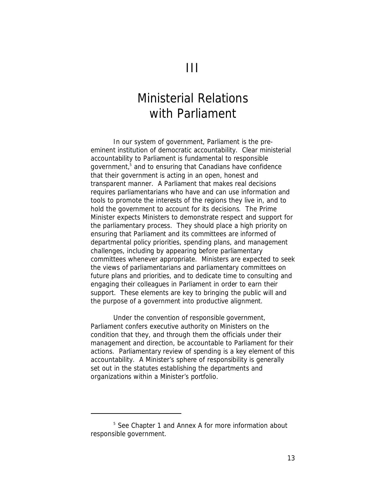## Ministerial Relations with Parliament

In our system of government, Parliament is the preeminent institution of democratic accountability. Clear ministerial accountability to Parliament is fundamental to responsible government,<sup>5</sup> and to ensuring that Canadians have confidence that their government is acting in an open, honest and transparent manner. A Parliament that makes real decisions requires parliamentarians who have and can use information and tools to promote the interests of the regions they live in, and to hold the government to account for its decisions. The Prime Minister expects Ministers to demonstrate respect and support for the parliamentary process. They should place a high priority on ensuring that Parliament and its committees are informed of departmental policy priorities, spending plans, and management challenges, including by appearing before parliamentary committees whenever appropriate. Ministers are expected to seek the views of parliamentarians and parliamentary committees on future plans and priorities, and to dedicate time to consulting and engaging their colleagues in Parliament in order to earn their support. These elements are key to bringing the public will and the purpose of a government into productive alignment.

Under the convention of responsible government, Parliament confers executive authority on Ministers on the condition that they, and through them the officials under their management and direction, be accountable to Parliament for their actions. Parliamentary review of spending is a key element of this accountability. A Minister's sphere of responsibility is generally set out in the statutes establishing the departments and organizations within a Minister's portfolio.

<sup>&</sup>lt;sup>5</sup> See Chapter 1 and Annex A for more information about responsible government.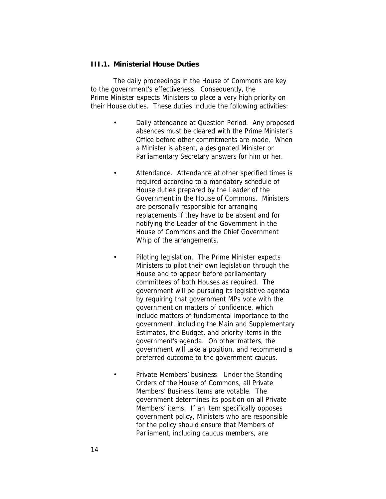### **III.1. Ministerial House Duties**

The daily proceedings in the House of Commons are key to the government's effectiveness. Consequently, the Prime Minister expects Ministers to place a very high priority on their House duties. These duties include the following activities:

- *Daily attendance at Question Period*. Any proposed absences must be cleared with the Prime Minister's Office before other commitments are made. When a Minister is absent, a designated Minister or Parliamentary Secretary answers for him or her.
- *Attendance*. Attendance at other specified times is required according to a *mandatory schedule* of House duties prepared by the Leader of the Government in the House of Commons. Ministers are personally responsible for arranging replacements if they have to be absent and for notifying the Leader of the Government in the House of Commons and the Chief Government Whip of the arrangements.
	- *Piloting legislation*. The Prime Minister expects Ministers to pilot their own legislation through the House and to appear before parliamentary committees of both Houses as required. The government will be pursuing its legislative agenda by requiring that government MPs vote with the government on matters of confidence, which include matters of fundamental importance to the government, including the Main and Supplementary Estimates, the Budget, and priority items in the government's agenda. On other matters, the government will take a position, and recommend a preferred outcome to the government caucus.
		- *Private Members' business*. Under the Standing Orders of the House of Commons, all Private Members' Business items are votable. The government determines its position on all Private Members' items. If an item specifically opposes government policy, Ministers who are responsible for the policy should ensure that Members of Parliament, including caucus members, are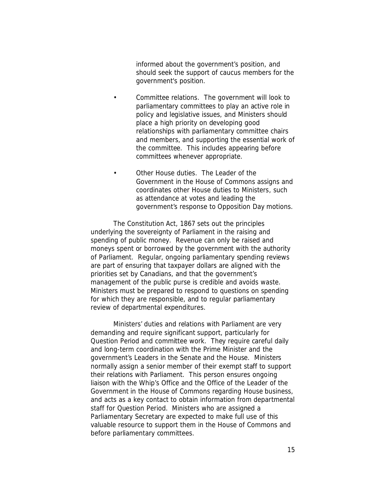informed about the government's position, and should seek the support of caucus members for the government's position.

- *Committee relations*. The government will look to parliamentary committees to play an active role in policy and legislative issues, and Ministers should place a high priority on developing good relationships with parliamentary committee chairs and members, and supporting the essential work of the committee. This includes appearing before committees whenever appropriate.
- *Other House duties*. The Leader of the Government in the House of Commons assigns and coordinates other House duties to Ministers, such as attendance at votes and leading the government's response to Opposition Day motions.

The *Constitution Act, 1867* sets out the principles underlying the sovereignty of Parliament in the raising and spending of public money. Revenue can only be raised and moneys spent or borrowed by the government with the authority of Parliament. Regular, ongoing parliamentary spending reviews are part of ensuring that taxpayer dollars are aligned with the priorities set by Canadians, and that the government's management of the public purse is credible and avoids waste. Ministers must be prepared to respond to questions on spending for which they are responsible, and to regular parliamentary review of departmental expenditures.

Ministers' duties and relations with Parliament are very demanding and require significant support, particularly for Question Period and committee work. They require careful daily and long-term coordination with the Prime Minister and the government's Leaders in the Senate and the House. Ministers normally assign a senior member of their exempt staff to support their relations with Parliament. This person ensures ongoing liaison with the Whip's Office and the Office of the Leader of the Government in the House of Commons regarding House business, and acts as a key contact to obtain information from departmental staff for Question Period. Ministers who are assigned a Parliamentary Secretary are expected to make full use of this valuable resource to support them in the House of Commons and before parliamentary committees.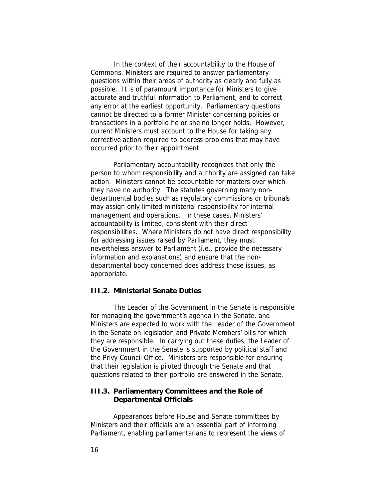In the context of their accountability to the House of Commons, Ministers are required to answer parliamentary questions within their areas of authority as clearly and fully as possible. It is of paramount importance for Ministers to give accurate and truthful information to Parliament, and to correct any error at the earliest opportunity. Parliamentary questions cannot be directed to a former Minister concerning policies or transactions in a portfolio he or she no longer holds. However, current Ministers must account to the House for taking any corrective action required to address problems that may have occurred prior to their appointment.

Parliamentary accountability recognizes that only the person to whom responsibility and authority are assigned can take action. Ministers cannot be accountable for matters over which they have no authority. The statutes governing many nondepartmental bodies such as regulatory commissions or tribunals may assign only limited ministerial responsibility for internal management and operations. In these cases, Ministers' accountability is limited, consistent with their direct responsibilities. Where Ministers do not have direct responsibility for addressing issues raised by Parliament, they must nevertheless answer to Parliament (i.e., provide the necessary information and explanations) and ensure that the nondepartmental body concerned does address those issues, as appropriate.

### **III.2. Ministerial Senate Duties**

The Leader of the Government in the Senate is responsible for managing the government's agenda in the Senate, and Ministers are expected to work with the Leader of the Government in the Senate on legislation and Private Members' bills for which they are responsible. In carrying out these duties, the Leader of the Government in the Senate is supported by political staff and the Privy Council Office. Ministers are responsible for ensuring that their legislation is piloted through the Senate and that questions related to their portfolio are answered in the Senate.

### **III.3. Parliamentary Committees and the Role of Departmental Officials**

Appearances before House and Senate committees by Ministers and their officials are an essential part of informing Parliament, enabling parliamentarians to represent the views of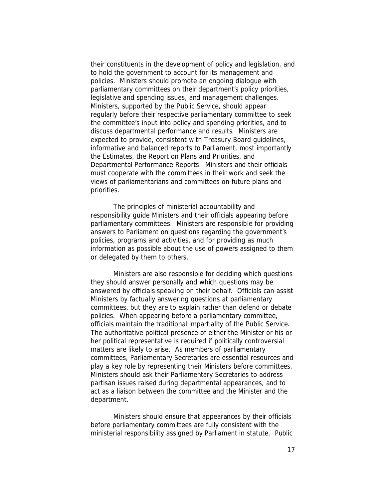their constituents in the development of policy and legislation, and to hold the government to account for its management and policies. Ministers should promote an ongoing dialogue with parliamentary committees on their department's policy priorities, legislative and spending issues, and management challenges. Ministers, supported by the Public Service, should appear regularly before their respective parliamentary committee to seek the committee's input into policy and spending priorities, and to discuss departmental performance and results. Ministers are expected to provide, consistent with Treasury Board guidelines, informative and balanced reports to Parliament, most importantly the Estimates, the Report on Plans and Priorities, and Departmental Performance Reports. Ministers and their officials must cooperate with the committees in their work and seek the views of parliamentarians and committees on future plans and priorities.

The principles of ministerial accountability and responsibility guide Ministers and their officials appearing before parliamentary committees. Ministers are responsible for providing answers to Parliament on questions regarding the government's policies, programs and activities, and for providing as much information as possible about the use of powers assigned to them or delegated by them to others.

Ministers *are also responsible for deciding which questions* they should answer personally and which questions may be answered by officials speaking on their behalf. Officials can assist Ministers by factually answering questions at parliamentary committees, but they are to explain rather than defend or debate policies. When appearing before a parliamentary committee, officials maintain the traditional impartiality of the Public Service. The authoritative political presence of either the Minister or his or her political representative is required if politically controversial matters are likely to arise. As members of parliamentary committees, Parliamentary Secretaries are essential resources and play a key role by representing their Ministers before committees. Ministers should ask their Parliamentary Secretaries to address partisan issues raised during departmental appearances, and to act as a liaison between the committee and the Minister and the department.

Ministers should ensure that appearances by their officials before parliamentary committees are fully consistent with the ministerial responsibility assigned by Parliament in statute. Public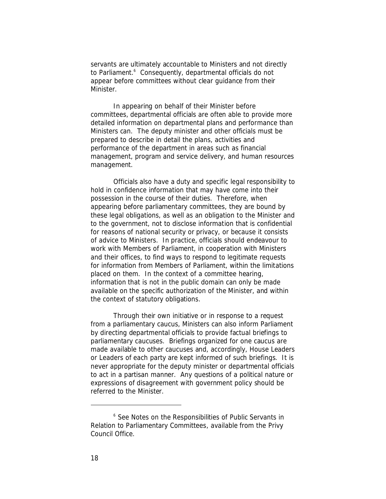servants are ultimately accountable to Ministers and not directly to Parliament.<sup>6</sup> Consequently, departmental officials do not appear before committees without clear guidance from their Minister.

In appearing on behalf of their Minister before committees, departmental officials are often able to provide more detailed information on departmental plans and performance than Ministers can. The deputy minister and other officials must be prepared to describe in detail the plans, activities and performance of the department in areas such as financial management, program and service delivery, and human resources management.

Officials also have a duty and specific legal responsibility to hold in confidence information that may have come into their possession in the course of their duties. Therefore, when appearing before parliamentary committees, they are bound by these legal obligations, as well as an obligation to the Minister and to the government, not to disclose information that is confidential for reasons of national security or privacy, or because it consists of advice to Ministers. In practice, officials should endeavour to work with Members of Parliament, in cooperation with Ministers and their offices, to find ways to respond to legitimate requests for information from Members of Parliament, within the limitations placed on them. In the context of a committee hearing, information that is not in the public domain can only be made available on the specific authorization of the Minister, and within the context of statutory obligations.

Through their own initiative or in response to a request from a parliamentary caucus, Ministers can also inform Parliament by directing departmental officials to provide factual briefings to parliamentary caucuses. Briefings organized for one caucus are made available to other caucuses and, accordingly, House Leaders or Leaders of each party are kept informed of such briefings. It is never appropriate for the deputy minister or departmental officials to act in a partisan manner. Any questions of a political nature or expressions of disagreement with government policy should be referred to the Minister.

<sup>6</sup> See *Notes on the Responsibilities of Public Servants in Relation to Parliamentary Committees*, available from the Privy Council Office.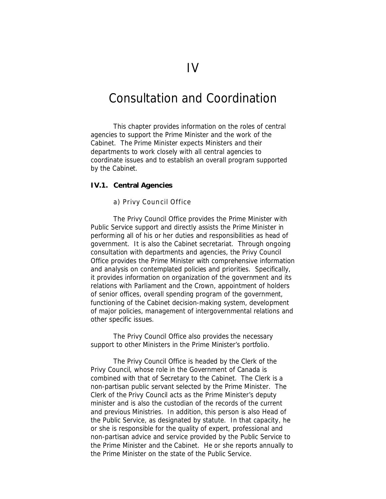### Consultation and Coordination

This chapter provides information on the roles of central agencies to support the Prime Minister and the work of the Cabinet. The Prime Minister expects Ministers and their departments to work closely with all central agencies to coordinate issues and to establish an overall program supported by the Cabinet.

### **IV.1. Central Agencies**

### *a) Privy Council Office*

The Privy Council Office provides the Prime Minister with Public Service support and directly assists the Prime Minister in performing all of his or her duties and responsibilities as head of government. It is also the Cabinet secretariat. Through ongoing consultation with departments and agencies, the Privy Council Office provides the Prime Minister with comprehensive information and analysis on contemplated policies and priorities. Specifically, it provides information on organization of the government and its relations with Parliament and the Crown, appointment of holders of senior offices, overall spending program of the government, functioning of the Cabinet decision-making system, development of major policies, management of intergovernmental relations and other specific issues.

The Privy Council Office also provides the necessary support to other Ministers in the Prime Minister's portfolio.

The Privy Council Office is headed by the Clerk of the Privy Council, whose role in the Government of Canada is combined with that of Secretary to the Cabinet. The Clerk is a non-partisan public servant selected by the Prime Minister. The Clerk of the Privy Council acts as the Prime Minister's deputy minister and is also the custodian of the records of the current and previous Ministries. In addition, this person is also Head of the Public Service, as designated by statute. In that capacity, he or she is responsible for the quality of expert, professional and non-partisan advice and service provided by the Public Service to the Prime Minister and the Cabinet. He or she reports annually to the Prime Minister on the state of the Public Service.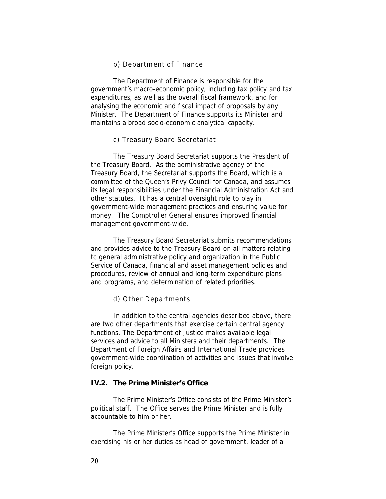### *b) Departm ent of Finance*

The Department of Finance is responsible for the government's macro-economic policy, including tax policy and tax expenditures, as well as the overall fiscal framework, and for analysing the economic and fiscal impact of proposals by any Minister. The Department of Finance supports its Minister and maintains a broad socio-economic analytical capacity.

### *c) Treasury Board Secretariat*

The Treasury Board Secretariat supports the President of the Treasury Board. As the administrative agency of the Treasury Board, the Secretariat supports the Board, which is a committee of the Queen's Privy Council for Canada, and assumes its legal responsibilities under the *Financial Administration Act* and other statutes. It has a central oversight role to play in government-wide management practices and ensuring value for money. The Comptroller General ensures improved financial management government-wide.

The Treasury Board Secretariat submits recommendations and provides advice to the Treasury Board on all matters relating to general administrative policy and organization in the Public Service of Canada, financial and asset management policies and procedures, review of annual and long-term expenditure plans and programs, and determination of related priorities.

#### *d) Other Departments*

In addition to the central agencies described above, there are two other departments that exercise certain central agency functions. The Department of Justice makes available legal services and advice to all Ministers and their departments. The Department of Foreign Affairs and International Trade provides government-wide coordination of activities and issues that involve foreign policy.

### **IV.2. The Prime Minister's Office**

The Prime Minister's Office consists of the Prime Minister's political staff. The Office serves the Prime Minister and is fully accountable to him or her.

The Prime Minister's Office supports the Prime Minister in exercising his or her duties as head of government, leader of a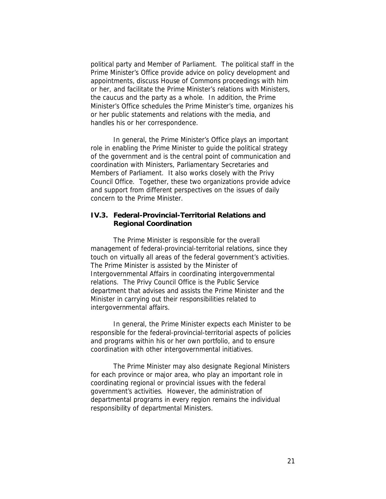political party and Member of Parliament. The political staff in the Prime Minister's Office provide advice on policy development and appointments, discuss House of Commons proceedings with him or her, and facilitate the Prime Minister's relations with Ministers, the caucus and the party as a whole. In addition, the Prime Minister's Office schedules the Prime Minister's time, organizes his or her public statements and relations with the media, and handles his or her correspondence.

In general, the Prime Minister's Office plays an important role in enabling the Prime Minister to guide the political strategy of the government and is the central point of communication and coordination with Ministers, Parliamentary Secretaries and Members of Parliament. It also works closely with the Privy Council Office. Together, these two organizations provide advice and support from different perspectives on the issues of daily concern to the Prime Minister.

### **IV.3. Federal-Provincial-Territorial Relations and Regional Coordination**

The Prime Minister is responsible for the overall management of federal-provincial-territorial relations, since they touch on virtually all areas of the federal government's activities. The Prime Minister is assisted by the Minister of Intergovernmental Affairs in coordinating intergovernmental relations. The Privy Council Office is the Public Service department that advises and assists the Prime Minister and the Minister in carrying out their responsibilities related to intergovernmental affairs.

In general, the Prime Minister expects each Minister to be responsible for the federal-provincial-territorial aspects of policies and programs within his or her own portfolio, and to ensure coordination with other intergovernmental initiatives.

The Prime Minister may also designate *Regional Ministers* for each province or major area, who play an important role in coordinating regional or provincial issues with the federal government's activities. However, the administration of departmental programs in every region remains the individual responsibility of departmental Ministers.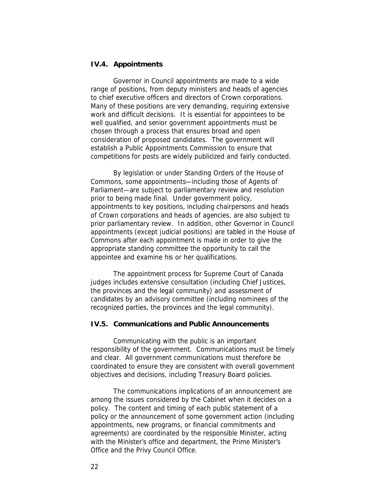#### **IV.4. Appointments**

Governor in Council appointments are made to a wide range of positions, from deputy ministers and heads of agencies to chief executive officers and directors of Crown corporations. Many of these positions are very demanding, requiring extensive work and difficult decisions. It is essential for appointees to be well qualified, and senior government appointments must be chosen through a process that ensures broad and open consideration of proposed candidates. The government will establish a Public Appointments Commission to ensure that competitions for posts are widely publicized and fairly conducted.

By legislation or under Standing Orders of the House of Commons, some appointments—including those of Agents of Parliament—are subject to parliamentary review and resolution prior to being made final. Under government policy, appointments to key positions, including chairpersons and heads of Crown corporations and heads of agencies, are also subject to prior parliamentary review. In addition, other Governor in Council appointments (except judicial positions) are tabled in the House of Commons after each appointment is made in order to give the appropriate standing committee the opportunity to call the appointee and examine his or her qualifications.

The appointment process for Supreme Court of Canada judges includes extensive consultation (including Chief Justices, the provinces and the legal community) and assessment of candidates by an advisory committee (including nominees of the recognized parties, the provinces and the legal community).

### **IV.5. Communications and Public Announcements**

Communicating with the public is an important responsibility of the government. Communications must be timely and clear. All government communications must therefore be coordinated to ensure they are consistent with overall government objectives and decisions, including Treasury Board policies.

The communications implications of an announcement are among the issues considered by the Cabinet when it decides on a policy. The content and timing of each public statement of a policy or the announcement of some government action (including appointments, new programs, or financial commitments and agreements) are coordinated by the responsible Minister, acting with the Minister's office and department, the Prime Minister's Office and the Privy Council Office.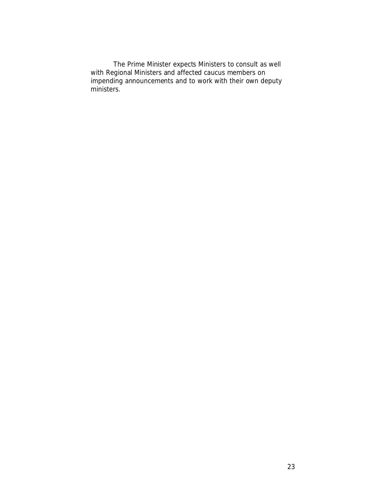The Prime Minister expects Ministers to consult as well with Regional Ministers and affected caucus members on impending announcements and to work with their own deputy ministers.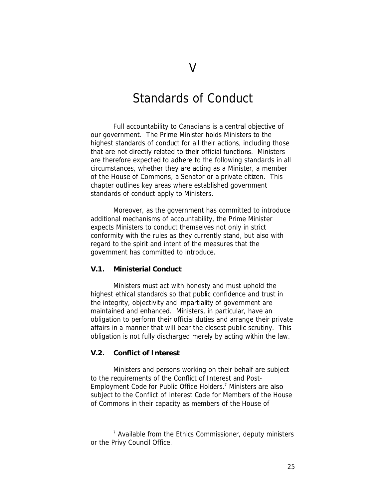### Standards of Conduct

Full accountability to Canadians is a central objective of our government. The Prime Minister holds Ministers to the highest standards of conduct for all their actions, including those that are not directly related to their official functions. Ministers are therefore expected to adhere to the following standards in all circumstances, whether they are acting as a Minister, a member of the House of Commons, a Senator or a private citizen. This chapter outlines key areas where established government standards of conduct apply to Ministers.

Moreover, as the government has committed to introduce additional mechanisms of accountability, the Prime Minister expects Ministers to conduct themselves not only in strict conformity with the rules as they currently stand, but also with regard to the spirit and intent of the measures that the government has committed to introduce.

### **V.1. Ministerial Conduct**

Ministers must act with honesty and must uphold the highest ethical standards so that public confidence and trust in the integrity, objectivity and impartiality of government are maintained and enhanced. Ministers, in particular, have an obligation to perform their official duties and arrange their private affairs in a manner that will bear the closest public scrutiny. This obligation is not fully discharged merely by acting within the law.

### **V.2. Conflict of Interest**

Ministers and persons working on their behalf are subject to the requirements of the *Conflict of Interest and Post-Employment Code for Public Office Holders.*<sup>7</sup> Ministers are also subject to the *Conflict of Interest Code for Members of the House of Commons* in their capacity as members of the House of

<sup>&</sup>lt;sup>7</sup> Available from the Ethics Commissioner, deputy ministers or the Privy Council Office.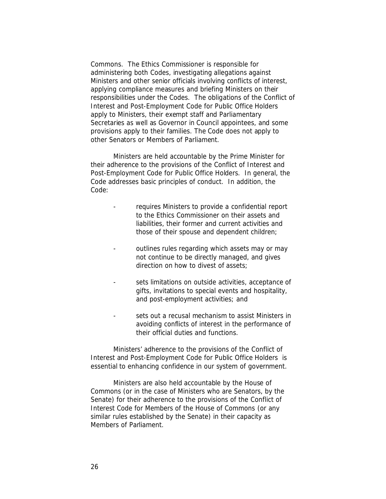Commons. The Ethics Commissioner is responsible for administering both Codes, investigating allegations against Ministers and other senior officials involving conflicts of interest, applying compliance measures and briefing Ministers on their responsibilities under the Codes. The obligations of the *Conflict of Interest and Post-Employment Code for Public Office Holders* apply to Ministers, their exempt staff and Parliamentary Secretaries as well as Governor in Council appointees, and some provisions apply to their families. The Code does not apply to other Senators or Members of Parliament.

Ministers are held accountable by the Prime Minister for their adherence to the provisions of the *Conflict of Interest and Post-Employment Code for Public Office Holders*. In general, the Code addresses basic principles of conduct. In addition, the Code:

- requires Ministers to provide a *confidential report* to the Ethics Commissioner on their assets and liabilities, their former and current activities and those of their spouse and dependent children;
- outlines *rules* regarding which assets may or may not continue to be directly managed, and gives direction on how to divest of assets;
- sets limitations on outside activities, acceptance of gifts, invitations to special events and hospitality, and post-employment activities; and
- sets out a recusal mechanism to assist Ministers in avoiding conflicts of interest in the performance of their official duties and functions.

Ministers' adherence to the provisions of the *Conflict of Interest and Post-Employment Code for Public Office Holders* is essential to enhancing confidence in our system of government.

Ministers are also held accountable by the House of Commons (or in the case of Ministers who are Senators, by the Senate) for their adherence to the provisions of the *Conflict of Interest Code for Members of the House of Commons* (or any similar rules established by the Senate) in their capacity as Members of Parliament.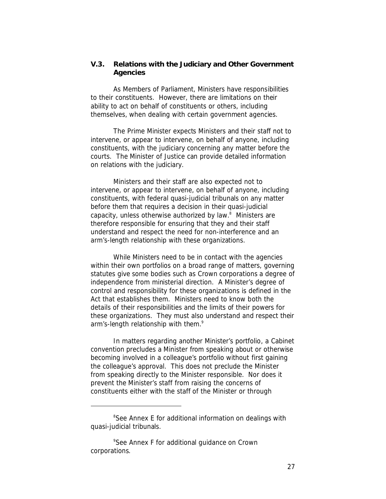**V.3. Relations with the Judiciary and Other Government Agencies**

As Members of Parliament, Ministers have responsibilities to their constituents. However, there are limitations on their ability to act on behalf of constituents or others, including themselves, when dealing with certain government agencies.

The Prime Minister expects Ministers and their staff not to intervene, or appear to intervene, on behalf of anyone, including constituents, with the *judiciary* concerning any matter before the courts. The Minister of Justice can provide detailed information on relations with the judiciary.

Ministers and their staff are also expected not to intervene, or appear to intervene, on behalf of anyone, including constituents, with *federal quasi-judicial tribunals* on any matter before them that requires a decision in their quasi-judicial capacity, unless otherwise authorized by law.<sup>8</sup> Ministers are therefore responsible for ensuring that they and their staff understand and respect the need for non-interference and an arm's-length relationship with these organizations.

While Ministers need to be in contact with the agencies within their own portfolios on a broad range of matters, governing statutes give some bodies such as Crown corporations a degree of independence from ministerial direction. A Minister's degree of control and responsibility for these organizations is defined in the Act that establishes them. Ministers need to know both the details of their responsibilities and the limits of their powers for these organizations. They must also understand and respect their arm's-length relationship with them.<sup>9</sup>

In matters regarding another Minister's portfolio, a Cabinet convention precludes a Minister from speaking about or otherwise becoming involved in a colleague's portfolio without first gaining the colleague's approval. This does not preclude the Minister from speaking directly to the Minister responsible. Nor does it prevent the Minister's staff from raising the concerns of constituents either with the staff of the Minister or through

<sup>&</sup>lt;sup>8</sup>See Annex E for additional information on dealings with quasi-judicial tribunals.

<sup>9</sup> See Annex F for additional guidance on Crown corporations.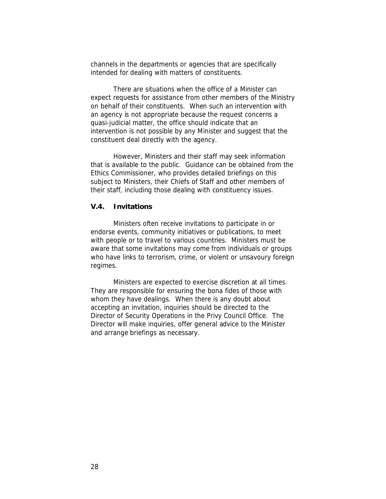channels in the departments or agencies that are specifically intended for dealing with matters of constituents.

There are situations when the office of a Minister can expect requests for assistance from other members of the Ministry on behalf of their constituents. When such an intervention with an agency is not appropriate because the request concerns a quasi-judicial matter, the office should indicate that an intervention is not possible by any Minister and suggest that the constituent deal directly with the agency.

However, Ministers and their staff may seek information that is available to the public. Guidance can be obtained from the Ethics Commissioner, who provides detailed briefings on this subject to Ministers, their Chiefs of Staff and other members of their staff, including those dealing with constituency issues.

### **V.4. Invitations**

Ministers often receive invitations to participate in or endorse events, community initiatives or publications, to meet with people or to travel to various countries. Ministers must be aware that some invitations may come from individuals or groups who have links to terrorism, crime, or violent or unsavoury foreign regimes.

Ministers are expected to exercise discretion at all times. They are responsible for ensuring the *bona fides* of those with whom they have dealings. When there is any doubt about accepting an invitation, inquiries should be directed to the Director of Security Operations in the Privy Council Office. The Director will make inquiries, offer general advice to the Minister and arrange briefings as necessary.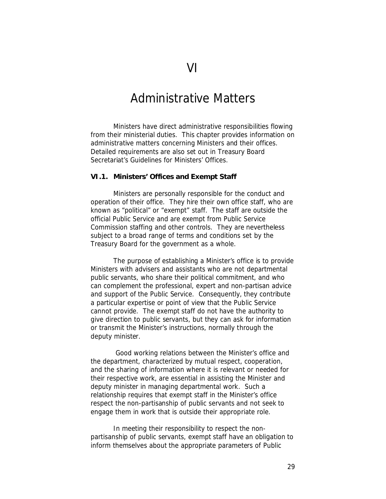### Administrative Matters

Ministers have direct administrative responsibilities flowing from their ministerial duties. This chapter provides information on administrative matters concerning Ministers and their offices. Detailed requirements are also set out in Treasury Board Secretariat's *Guidelines for Ministers' Offices*.

### **VI.1. Ministers' Offices and Exempt Staff**

Ministers are personally responsible for the conduct and operation of their office. They hire their own office staff, who are known as "political" or "exempt" staff. The staff are outside the official Public Service and are exempt from Public Service Commission staffing and other controls. They are nevertheless subject to a broad range of terms and conditions set by the Treasury Board for the government as a whole.

The purpose of establishing a Minister's office is to provide Ministers with advisers and assistants who are not departmental public servants, who share their political commitment, and who can complement the professional, expert and non-partisan advice and support of the Public Service. Consequently, they contribute a particular expertise or point of view that the Public Service cannot provide. The exempt staff do not have the authority to give direction to public servants, but they can ask for information or transmit the Minister's instructions, normally through the deputy minister.

 Good working relations between the Minister's office and the department, characterized by mutual respect, cooperation, and the sharing of information where it is relevant or needed for their respective work, are essential in assisting the Minister and deputy minister in managing departmental work. Such a relationship requires that exempt staff in the Minister's office respect the non-partisanship of public servants and not seek to engage them in work that is outside their appropriate role.

In meeting their responsibility to respect the nonpartisanship of public servants, exempt staff have an obligation to inform themselves about the appropriate parameters of Public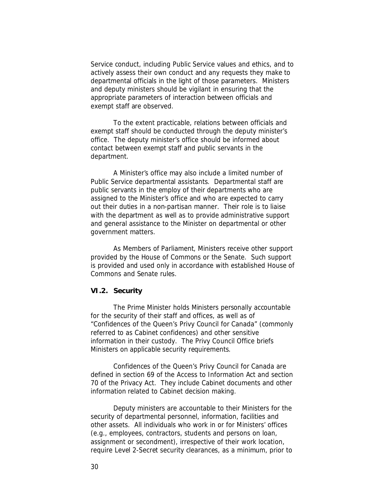Service conduct, including Public Service values and ethics, and to actively assess their own conduct and any requests they make to departmental officials in the light of those parameters. Ministers and deputy ministers should be vigilant in ensuring that the appropriate parameters of interaction between officials and exempt staff are observed.

To the extent practicable, relations between officials and exempt staff should be conducted through the deputy minister's office. The deputy minister's office should be informed about contact between exempt staff and public servants in the department.

A Minister's office may also include a limited number of Public Service *departmental assistants*. Departmental staff are public servants in the employ of their departments who are assigned to the Minister's office and who are expected to carry out their duties in a non-partisan manner. Their role is to liaise with the department as well as to provide administrative support and general assistance to the Minister on departmental or other government matters.

As Members of Parliament, Ministers receive other support provided by the House of Commons or the Senate. Such support is provided and used only in accordance with established House of Commons and Senate rules.

### **VI.2. Security**

The Prime Minister holds Ministers personally accountable for the security of their staff and offices, as well as of "Confidences of the Queen's Privy Council for Canada" (commonly referred to as Cabinet confidences) and other sensitive information in their custody. The Privy Council Office briefs Ministers on applicable security requirements.

Confidences of the Queen's Privy Council for Canada are defined in section 69 of the *Access to Information Act* and section 70 of the *Privacy Act*. They include Cabinet documents and other information related to Cabinet decision making.

Deputy ministers are accountable to their Ministers for the security of departmental personnel, information, facilities and other assets. All individuals who work in or for Ministers' offices (e.g., employees, contractors, students and persons on loan, assignment or secondment), irrespective of their work location, require Level 2-Secret security clearances, as a minimum, *prior to*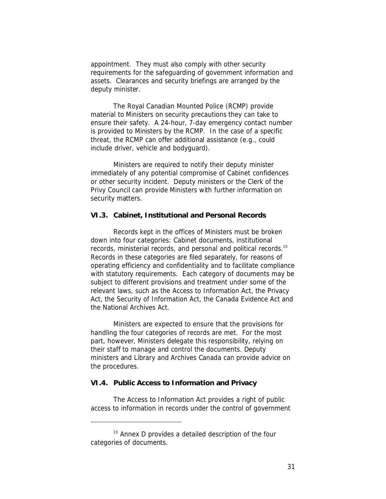*appointment*. They must also comply with other security requirements for the safeguarding of government information and assets. Clearances and security briefings are arranged by the deputy minister.

The Royal Canadian Mounted Police (RCMP) provide material to Ministers on security precautions they can take to ensure their safety. A 24-hour, 7-day emergency contact number is provided to Ministers by the RCMP. In the case of a specific threat, the RCMP can offer additional assistance (e.g., could include driver, vehicle and bodyguard).

Ministers are required to notify their deputy minister immediately of any potential compromise of Cabinet confidences or other security incident. Deputy ministers or the Clerk of the Privy Council can provide Ministers with further information on security matters.

### **VI.3. Cabinet, Institutional and Personal Records**

Records kept in the offices of Ministers must be broken down into four categories: Cabinet documents, institutional records, ministerial records, and personal and political records.<sup>10</sup> Records in these categories are filed separately, for reasons of operating efficiency and confidentiality and to facilitate compliance with statutory requirements. Each category of documents may be subject to different provisions and treatment under some of the relevant laws, such as the *Access to Information Act*, the *Privacy Act*, the *Security of Information Act*, the *Canada Evidence Act* and the *National Archives Act*.

Ministers are expected to ensure that the provisions for handling the four categories of records are met. For the most part, however, Ministers delegate this responsibility, relying on their staff to manage and control the documents. Deputy ministers and Library and Archives Canada can provide advice on the procedures.

#### **VI.4. Public Access to Information and Privacy**

The *Access to Information Act* provides a right of public access to information in records under the control of government

<sup>&</sup>lt;sup>10</sup> Annex D provides a detailed description of the four categories of documents.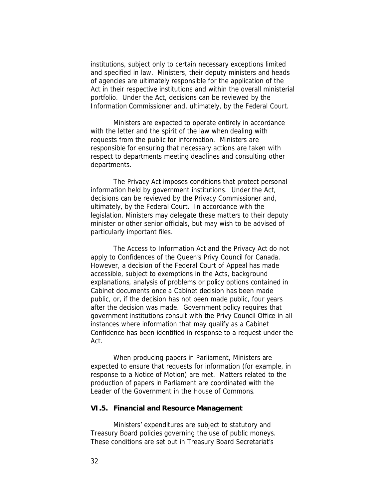institutions, subject only to certain necessary exceptions limited and specified in law. Ministers, their deputy ministers and heads of agencies are ultimately responsible for the application of the Act in their respective institutions and within the overall ministerial portfolio. Under the Act, decisions can be reviewed by the Information Commissioner and, ultimately, by the Federal Court.

Ministers are expected to operate entirely in accordance with the letter and the spirit of the law when dealing with requests from the public for information. Ministers are responsible for ensuring that necessary actions are taken with respect to departments meeting deadlines and consulting other departments.

The *Privacy Act* imposes conditions that protect personal information held by government institutions. Under the Act, decisions can be reviewed by the Privacy Commissioner and, ultimately, by the Federal Court. In accordance with the legislation, Ministers may delegate these matters to their deputy minister or other senior officials, but may wish to be advised of particularly important files.

The *Access to Information Act* and the *Privacy Act* do not apply to Confidences of the Queen's Privy Council for Canada. However, a decision of the Federal Court of Appeal has made accessible, subject to exemptions in the Acts, background explanations, analysis of problems or policy options contained in Cabinet documents once a Cabinet decision has been made public, or, if the decision has not been made public, four years after the decision was made. Government policy requires that government institutions consult with the Privy Council Office in all instances where information that may qualify as a Cabinet Confidence has been identified in response to a request under the Act.

When producing *papers in Parliament*, Ministers are expected to ensure that requests for information (for example, in response to a Notice of Motion) are met. Matters related to the production of papers in Parliament are coordinated with the Leader of the Government in the House of Commons.

#### **VI.5. Financial and Resource Management**

Ministers' expenditures are subject to statutory and Treasury Board policies governing the use of public moneys. These conditions are set out in Treasury Board Secretariat's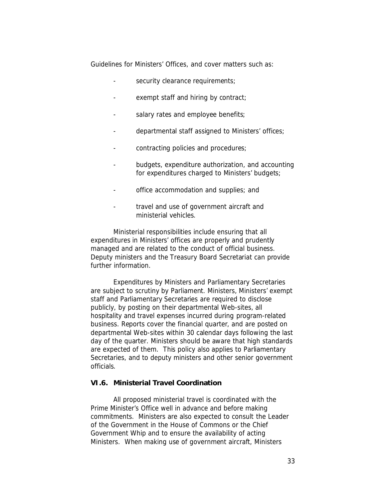*Guidelines for Ministers' Offices*, and cover matters such as:

- security clearance requirements;
- exempt staff and hiring by contract;
- salary rates and employee benefits;
- departmental staff assigned to Ministers' offices;
- contracting policies and procedures;
- budgets, expenditure authorization, and accounting for expenditures charged to Ministers' budgets;
- office accommodation and supplies; and
- travel and use of government aircraft and ministerial vehicles.

Ministerial responsibilities include ensuring that all expenditures in Ministers' offices are properly and prudently managed and are related to the conduct of official business. Deputy ministers and the Treasury Board Secretariat can provide further information.

Expenditures by Ministers and Parliamentary Secretaries are subject to scrutiny by Parliament. Ministers, Ministers' exempt staff and Parliamentary Secretaries are required to disclose publicly, by posting on their departmental Web-sites, all hospitality and travel expenses incurred during program-related business. Reports cover the financial quarter, and are posted on departmental Web-sites within 30 calendar days following the last day of the quarter. Ministers should be aware that high standards are expected of them. This policy also applies to Parliamentary Secretaries, and to deputy ministers and other senior government officials.

### **VI.6. Ministerial Travel Coordination**

All proposed ministerial travel is coordinated with the Prime Minister's Office well in advance and before making commitments. Ministers are also expected to consult the Leader of the Government in the House of Commons or the Chief Government Whip and to ensure the availability of acting Ministers. When making use of government aircraft, Ministers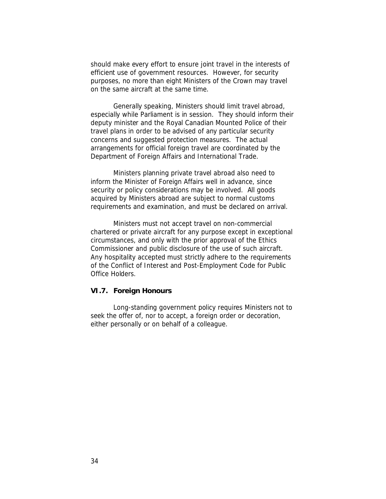should make every effort to ensure joint travel in the interests of efficient use of government resources. However, for security purposes, no more than eight Ministers of the Crown may travel on the same aircraft at the same time.

Generally speaking, Ministers should limit travel abroad, especially while Parliament is in session. They should inform their deputy minister and the Royal Canadian Mounted Police of their travel plans in order to be advised of any particular security concerns and suggested protection measures. The actual arrangements for official foreign travel are coordinated by the Department of Foreign Affairs and International Trade.

Ministers planning *private travel abroad* also need to inform the Minister of Foreign Affairs well in advance, since security or policy considerations may be involved. All goods acquired by Ministers abroad are subject to normal customs requirements and examination, and must be declared on arrival.

Ministers must not accept travel on non-commercial chartered or private aircraft for any purpose except in exceptional circumstances, and only with the prior approval of the Ethics Commissioner and public disclosure of the use of such aircraft. Any hospitality accepted must strictly adhere to the requirements of the *Conflict of Interest and Post-Employment Code for Public Office Holders*.

### **VI.7. Foreign Honours**

Long-standing government policy requires Ministers not to seek the offer of, nor to accept, a foreign order or decoration, either personally or on behalf of a colleague.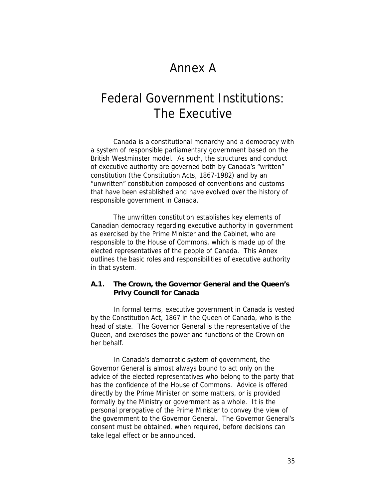### Annex A

## Federal Government Institutions: The Executive

Canada is a constitutional monarchy and a democracy with a system of responsible parliamentary government based on the British Westminster model. As such, the structures and conduct of executive authority are governed both by Canada's "written" constitution (the *Constitution Acts, 1867-1982*) and by an "unwritten" constitution composed of conventions and customs that have been established and have evolved over the history of responsible government in Canada.

The unwritten constitution establishes key elements of Canadian democracy regarding executive authority in government as exercised by the Prime Minister and the Cabinet, who are responsible to the House of Commons, which is made up of the elected representatives of the people of Canada. This Annex outlines the basic roles and responsibilities of executive authority in that system.

**A.1. The Crown, the Governor General and the Queen's Privy Council for Canada**

In formal terms, executive government in Canada is vested by the *Constitution Act, 1867* in the Queen of Canada, who is the head of state. The Governor General is the representative of the Queen, and exercises the power and functions of the Crown on her behalf.

In Canada's democratic system of government, the Governor General is almost always bound to act only on the advice of the elected representatives who belong to the party that has the confidence of the House of Commons. Advice is offered directly by the Prime Minister on some matters, or is provided formally by the Ministry or government as a whole. It is the personal prerogative of the Prime Minister to convey the view of the government to the Governor General. The Governor General's consent must be obtained, when required, *before* decisions can take legal effect or be announced.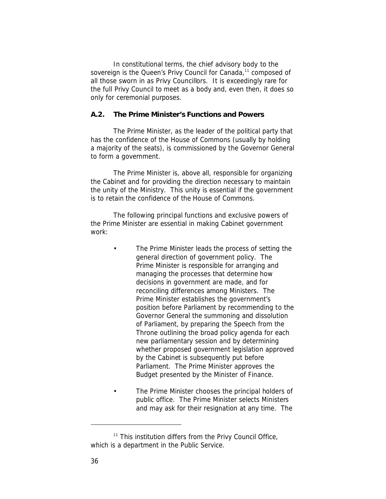In constitutional terms, the chief advisory body to the sovereign is the Queen's Privy Council for Canada,<sup>11</sup> composed of all those sworn in as Privy Councillors. It is exceedingly rare for the full Privy Council to meet as a body and, even then, it does so only for ceremonial purposes.

### **A.2. The Prime Minister's Functions and Powers**

The Prime Minister, as the leader of the political party that has the confidence of the House of Commons (usually by holding a majority of the seats), is commissioned by the Governor General to form a government.

The Prime Minister is, above all, responsible for organizing the Cabinet and for providing the direction necessary to maintain the unity of the Ministry. This unity is essential if the government is to retain the confidence of the House of Commons.

The following principal functions and exclusive powers of the Prime Minister are essential in making Cabinet government work:

- The Prime Minister leads *the process of setting the general direction of government policy.* The Prime Minister is responsible for arranging and managing the processes that determine how decisions in government are made, and for reconciling differences among Ministers. The Prime Minister establishes the government's position before Parliament by recommending to the Governor General the summoning and dissolution of Parliament, by preparing the Speech from the Throne outlining the broad policy agenda for each new parliamentary session and by determining whether proposed government legislation approved by the Cabinet is subsequently put before Parliament. The Prime Minister approves the Budget presented by the Minister of Finance.
- The Prime Minister *chooses the principal holders of public office*. The Prime Minister selects Ministers and may ask for their resignation at any time. The

<sup>&</sup>lt;sup>11</sup> This institution differs from the Privy Council Office, which is a department in the Public Service.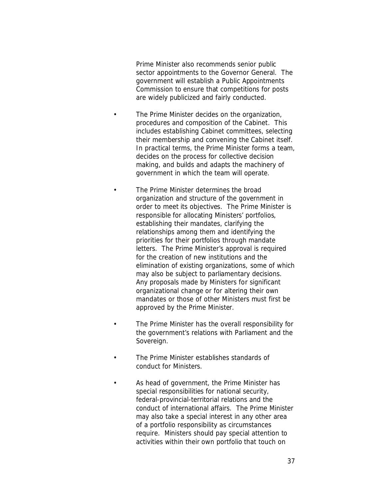Prime Minister also recommends *senior public sector appointments* to the Governor General. The government will establish a Public Appointments Commission to ensure that competitions for posts are widely publicized and fairly conducted.

- The Prime Minister decides on *the organization, procedures and composition of the Cabinet*. This includes establishing Cabinet committees, selecting their membership and convening the Cabinet itself. In practical terms, the Prime Minister forms a team, decides on the process for collective decision making, and builds and adapts the machinery of government in which the team will operate.
- The Prime Minister determines *the broad organization and structure of the government* in order to meet its objectives. The Prime Minister is responsible for allocating Ministers' portfolios, establishing their mandates, clarifying the relationships among them and identifying the priorities for their portfolios through mandate letters. The Prime Minister's approval is required for the creation of new institutions and the elimination of existing organizations, some of which may also be subject to parliamentary decisions. Any proposals made by Ministers for significant organizational change or for altering their own mandates or those of other Ministers must first be approved by the Prime Minister.
- The Prime Minister has the overall responsibility for the government's relations with Parliament and the Sovereign.
- The Prime Minister establishes *standards of conduct* for Ministers.
- As head of government, the Prime Minister has *special responsibilities* for national security, federal-provincial-territorial relations and the conduct of international affairs. The Prime Minister may also take a special interest in any other area of a portfolio responsibility as circumstances require. Ministers should pay special attention to activities within their own portfolio that touch on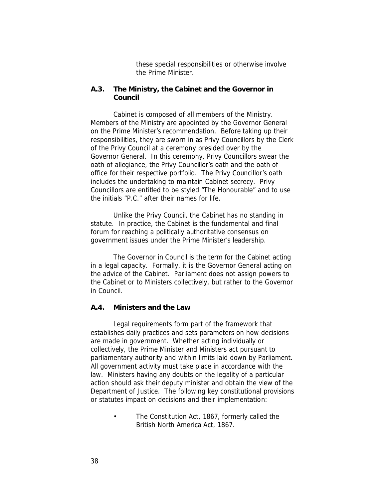these special responsibilities or otherwise involve the Prime Minister.

**A.3. The Ministry, the Cabinet and the Governor in Council**

Cabinet is composed of all members of the Ministry. Members of the Ministry are appointed by the Governor General on the Prime Minister's recommendation. Before taking up their responsibilities, they are sworn in as Privy Councillors by the Clerk of the Privy Council at a ceremony presided over by the Governor General. In this ceremony, Privy Councillors swear the oath of allegiance, the Privy Councillor's oath and the oath of office for their respective portfolio. The Privy Councillor's oath includes the undertaking to maintain Cabinet secrecy. Privy Councillors are entitled to be styled "The Honourable" and to use the initials "P.C." after their names for life.

Unlike the Privy Council, the Cabinet has no standing in statute. In practice, the Cabinet is the fundamental and final forum for reaching a politically authoritative consensus on government issues under the Prime Minister's leadership.

The *Governor in Council* is the term for the Cabinet acting in a legal capacity. Formally, it is the Governor General acting on the advice of the Cabinet. Parliament does not assign powers to the Cabinet or to Ministers collectively, but rather to the Governor in Council.

### **A.4. Ministers and the Law**

Legal requirements form part of the framework that establishes daily practices and sets parameters on how decisions are made in government. Whether acting individually or collectively, the Prime Minister and Ministers act pursuant to parliamentary authority and within limits laid down by Parliament. All government activity must take place in accordance with the law. Ministers having any doubts on the legality of a particular action should ask their deputy minister and obtain the view of the Department of Justice. The following key constitutional provisions or statutes impact on decisions and their implementation:

> • The *Constitution Act, 1867*, formerly called the *British North America Act, 1867*.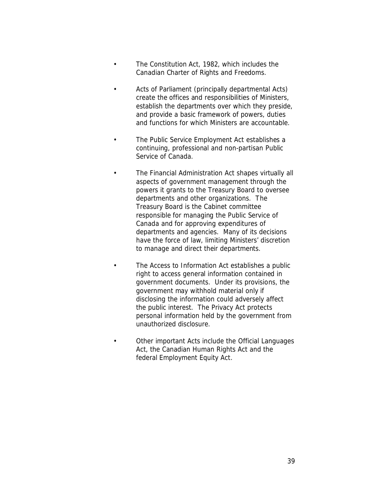- The *Constitution Act, 1982*, which includes the *Canadian Charter of Rights and Freedoms*.
- *Acts of Parliament* (principally departmental Acts) create the offices and responsibilities of Ministers, establish the departments over which they preside, and provide a basic framework of powers, duties and functions for which Ministers are accountable.
- The *Public Service Employment Act* establishes a continuing, professional and non-partisan Public Service of Canada.
	- The *Financial Administration Act* shapes virtually all aspects of government management through the powers it grants to the Treasury Board to oversee departments and other organizations. The Treasury Board is the Cabinet committee responsible for managing the Public Service of Canada and for approving expenditures of departments and agencies. Many of its decisions have the force of law, limiting Ministers' discretion to manage and direct their departments.
		- The *Access to Information Act* establishes a public right to access general information contained in government documents. Under its provisions, the government may withhold material only if disclosing the information could adversely affect the public interest. The *Privacy Act* protects personal information held by the government from unauthorized disclosure.
	- Other important Acts include the *Official Languages Act,* the *Canadian Human Rights Act* and the federal *Employment Equity Act*.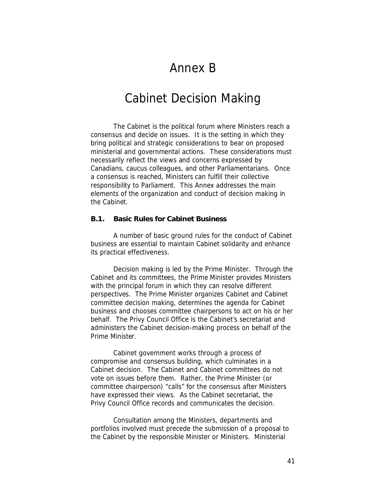### Annex B

### Cabinet Decision Making

The Cabinet is the political forum where Ministers reach a consensus and decide on issues. It is the setting in which they bring political and strategic considerations to bear on proposed ministerial and governmental actions. These considerations must necessarily reflect the views and concerns expressed by Canadians, caucus colleagues, and other Parliamentarians. Once a consensus is reached, Ministers can fulfill their collective responsibility to Parliament. This Annex addresses the main elements of the organization and conduct of decision making in the Cabinet.

### **B.1. Basic Rules for Cabinet Business**

A number of basic ground rules for the conduct of Cabinet business are essential to maintain Cabinet solidarity and enhance its practical effectiveness.

Decision making is *led* by the Prime Minister. Through the Cabinet and its committees, the Prime Minister provides Ministers with the principal forum in which they can resolve different perspectives. The Prime Minister *organizes* Cabinet and Cabinet committee decision making, determines the agenda for Cabinet business and chooses committee chairpersons to act on his or her behalf. The Privy Council Office is the Cabinet's secretariat and administers the Cabinet decision-making process on behalf of the Prime Minister.

Cabinet government works through a process of compromise and consensus building, which culminates in a Cabinet decision. The Cabinet and Cabinet committees do not vote on issues before them. Rather, the Prime Minister (or committee chairperson) "calls" for the consensus after Ministers have expressed their views. As the Cabinet secretariat, the Privy Council Office records and communicates the decision.

Consultation among the Ministers, departments and portfolios involved *must precede* the submission of a proposal to the Cabinet by the responsible Minister or Ministers. Ministerial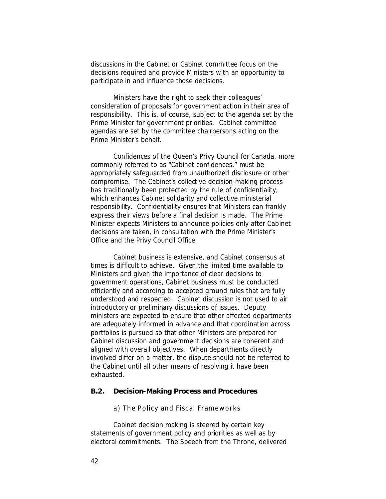discussions in the Cabinet or Cabinet committee focus on the decisions required and provide Ministers with an opportunity to participate in and influence those decisions.

Ministers have the right to seek their colleagues' consideration of proposals for government action in their area of responsibility. This is, of course, subject to the agenda set by the Prime Minister for government priorities. Cabinet committee agendas are set by the committee chairpersons acting on the Prime Minister's behalf.

Confidences of the Queen's Privy Council for Canada, more commonly referred to as "Cabinet confidences," must be appropriately safeguarded from unauthorized disclosure or other compromise. The Cabinet's collective decision-making process has traditionally been protected by the rule of confidentiality, which enhances Cabinet solidarity and collective ministerial responsibility. Confidentiality ensures that Ministers can frankly express their views before a final decision is made. The Prime Minister expects Ministers to announce policies only after Cabinet decisions are taken, in consultation with the Prime Minister's Office and the Privy Council Office.

Cabinet business is extensive, and Cabinet consensus at times is difficult to achieve. Given the limited time available to Ministers and given the importance of clear decisions to government operations, Cabinet business must be conducted efficiently and according to accepted ground rules that are fully understood and respected. Cabinet discussion is not used to air introductory or preliminary discussions of issues. Deputy ministers are expected to ensure that other affected departments are adequately informed in advance and that coordination across portfolios is pursued so that other Ministers are prepared for Cabinet discussion and government decisions are coherent and aligned with overall objectives. When departments directly involved differ on a matter, the dispute should not be referred to the Cabinet until all other means of resolving it have been exhausted.

### **B.2. Decision-Making Process and Procedures**

### *a) The Policy and Fiscal Frameworks*

Cabinet decision making is steered by certain key statements of government policy and priorities as well as by electoral commitments. The Speech from the Throne, delivered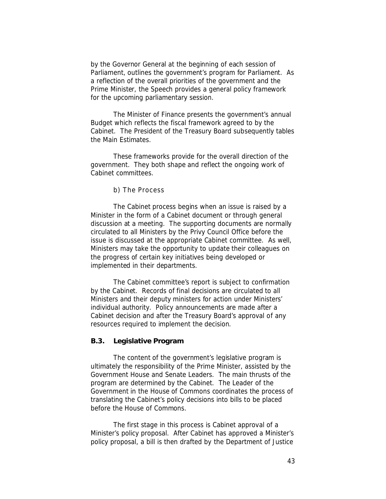by the Governor General at the beginning of each session of Parliament, outlines the government's program for Parliament. As a reflection of the overall priorities of the government and the Prime Minister, the Speech provides a general *policy framework* for the upcoming parliamentary session.

The Minister of Finance presents the government's annual Budget which reflects the *fiscal framework* agreed to by the Cabinet. The President of the Treasury Board subsequently tables the Main Estimates.

These frameworks provide for the overall direction of the government. They both shape and reflect the ongoing work of Cabinet committees.

*b) The Process*

The Cabinet process begins when an issue is raised by a Minister in the form of a Cabinet document or through general discussion at a meeting. The supporting documents are normally circulated to all Ministers by the Privy Council Office before the issue is discussed at the appropriate Cabinet committee. As well, Ministers may take the opportunity to update their colleagues on the progress of certain key initiatives being developed or implemented in their departments.

The Cabinet committee's report is subject to confirmation by the Cabinet. Records of final decisions are circulated to all Ministers and their deputy ministers for action under Ministers' individual authority. *Policy announcements are made after a Cabinet decision and after the Treasury Board's approval of any resources required to implement the decision*.

### **B.3. Legislative Program**

The content of the government's legislative program is ultimately the responsibility of the Prime Minister, assisted by the Government House and Senate Leaders. The main thrusts of the program are determined by the Cabinet. The Leader of the Government in the House of Commons coordinates the process of translating the Cabinet's policy decisions into bills to be placed before the House of Commons.

The first stage in this process is Cabinet approval of a Minister's policy proposal. After Cabinet has approved a Minister's policy proposal, a bill is then drafted by the Department of Justice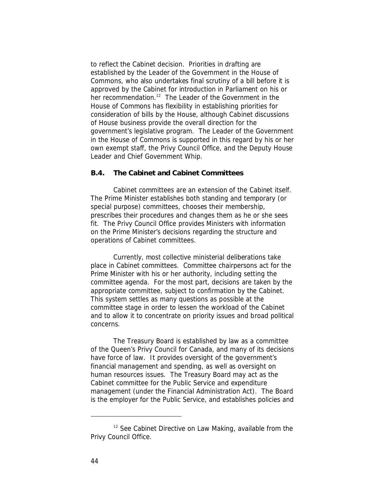to reflect the Cabinet decision. Priorities in drafting are established by the Leader of the Government in the House of Commons, who also undertakes final scrutiny of a bill before it is approved by the Cabinet for introduction in Parliament on his or her recommendation.<sup>12</sup> The Leader of the Government in the House of Commons has flexibility in establishing priorities for consideration of bills by the House, although Cabinet discussions of House business provide the overall direction for the government's legislative program. The Leader of the Government in the House of Commons is supported in this regard by his or her own exempt staff, the Privy Council Office, and the Deputy House Leader and Chief Government Whip.

### **B.4. The Cabinet and Cabinet Committees**

Cabinet committees are an extension of the Cabinet itself. The Prime Minister establishes both standing and temporary (or special purpose) committees, chooses their membership, prescribes their procedures and changes them as he or she sees fit. The Privy Council Office provides Ministers with information on the Prime Minister's decisions regarding the structure and operations of Cabinet committees.

Currently, most collective ministerial deliberations take place in Cabinet committees. Committee chairpersons act for the Prime Minister with his or her authority, including setting the committee agenda. For the most part, decisions are taken by the appropriate committee, subject to confirmation by the Cabinet. This system settles as many questions as possible at the committee stage in order to lessen the workload of the Cabinet and to allow it to concentrate on priority issues and broad political concerns.

The Treasury Board is established by law as a committee of the Queen's Privy Council for Canada, and many of its decisions have force of law. It provides oversight of the government's financial management and spending, as well as oversight on human resources issues. The Treasury Board may act as the Cabinet committee for the Public Service and expenditure management (under the *Financial Administration Act*). The Board is the employer for the Public Service, and establishes policies and

<sup>12</sup> See *Cabinet Directive on Law Making*, available from the Privy Council Office.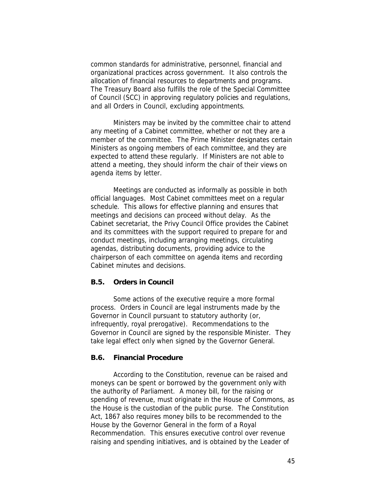common standards for administrative, personnel, financial and organizational practices across government. It also controls the allocation of financial resources to departments and programs. The Treasury Board also fulfills the role of the Special Committee of Council (SCC) in approving regulatory policies and regulations, and all Orders in Council, excluding appointments.

Ministers may be invited by the committee chair to attend any meeting of a Cabinet committee, whether or not they are a member of the committee. The Prime Minister designates certain Ministers as ongoing members of each committee, and they are expected to attend these regularly. If Ministers are not able to attend a meeting, they should inform the chair of their views on agenda items by letter.

Meetings are conducted as informally as possible in both official languages. Most Cabinet committees meet on a regular schedule. This allows for effective planning and ensures that meetings and decisions can proceed without delay. As the Cabinet secretariat, the Privy Council Office provides the Cabinet and its committees with the support required to prepare for and conduct meetings, including arranging meetings, circulating agendas, distributing documents, providing advice to the chairperson of each committee on agenda items and recording Cabinet minutes and decisions.

### **B.5. Orders in Council**

Some actions of the executive require a more formal process. Orders in Council are legal instruments made by the Governor in Council pursuant to statutory authority (or, infrequently, royal prerogative). Recommendations to the Governor in Council are signed by the responsible Minister. They take legal effect only when signed by the Governor General.

### **B.6. Financial Procedure**

According to the Constitution, revenue can be raised and moneys can be spent or borrowed by the government only with the authority of Parliament. A money bill, for the raising or spending of revenue, must originate in the House of Commons, as the House is the custodian of the public purse. The *Constitution Act, 1867* also requires money bills to be recommended to the House by the Governor General in the form of a Royal Recommendation. This ensures executive control over revenue raising and spending initiatives, and is obtained by the Leader of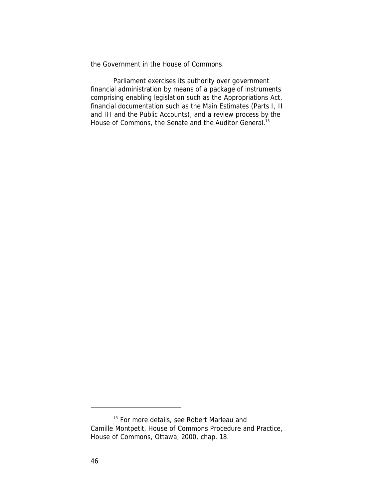the Government in the House of Commons.

Parliament exercises its authority over government financial administration by means of a package of instruments comprising enabling legislation such as the *Appropriations Act*, financial documentation such as the Main Estimates (Parts I, II and III and the Public Accounts), and a review process by the House of Commons, the Senate and the Auditor General.<sup>13</sup>

<sup>&</sup>lt;sup>13</sup> For more details, see Robert Marleau and Camille Montpetit, *House of Commons Procedure and Practice*, House of Commons, Ottawa, 2000, chap. 18.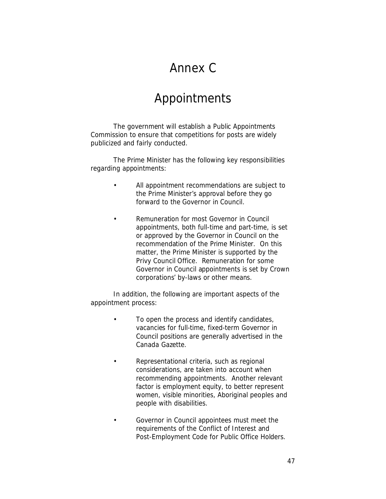## Annex C

### Appointments

The government will establish a Public Appointments Commission to ensure that competitions for posts are widely publicized and fairly conducted.

The Prime Minister has the following key responsibilities regarding appointments:

- All appointment recommendations are *subject to the Prime Minister's approval* before they go forward to the Governor in Council.
- *Remuneration* for most Governor in Council appointments, both full-time and part-time, is set or approved by the Governor in Council on the recommendation of the Prime Minister. On this matter, the Prime Minister is supported by the Privy Council Office. Remuneration for some Governor in Council appointments is set by Crown corporations' by-laws or other means.

In addition, the following are important aspects of the appointment process:

- To open the process and identify candidates, vacancies for full-time, fixed-term Governor in Council positions are generally advertised in the *Canada Gazette*.
- Representational criteria, such as regional considerations, are taken into account when recommending appointments. Another relevant factor is employment equity, to better represent women, visible minorities, Aboriginal peoples and people with disabilities.
- Governor in Council appointees must meet the requirements of the *Conflict of Interest and Post-Employment Code for Public Office Holders*.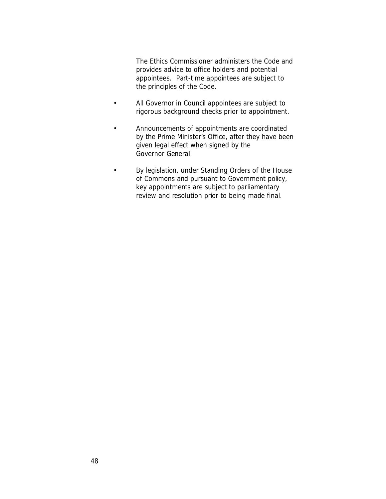The Ethics Commissioner administers the Code and provides advice to office holders and potential appointees. Part-time appointees are subject to the principles of the Code.

- All Governor in Council appointees are subject to rigorous *background checks* prior to appointment.
- *Announcements* of appointments are coordinated by the Prime Minister's Office, after they have been given legal effect when signed by the Governor General.
- By legislation, under Standing Orders of the House of Commons and pursuant to Government policy, key appointments are subject to parliamentary review and resolution prior to being made final.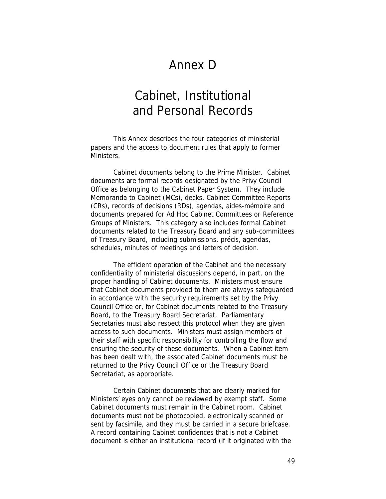### Annex D

## Cabinet, Institutional and Personal Records

This Annex describes the four categories of ministerial papers and the access to document rules that apply to former Ministers.

*Cabinet documents* belong to the Prime Minister. Cabinet documents are formal records designated by the Privy Council Office as belonging to the Cabinet Paper System. They include Memoranda to Cabinet (MCs), decks, Cabinet Committee Reports (CRs), records of decisions (RDs), agendas, aides-mémoire and documents prepared for Ad Hoc Cabinet Committees or Reference Groups of Ministers. This category also includes formal Cabinet documents related to the Treasury Board and any sub-committees of Treasury Board, including submissions, précis, agendas, schedules, minutes of meetings and letters of decision.

The efficient operation of the Cabinet and the necessary confidentiality of ministerial discussions depend, in part, on the proper handling of Cabinet documents. Ministers must ensure that Cabinet documents provided to them are always safeguarded in accordance with the security requirements set by the Privy Council Office or, for Cabinet documents related to the Treasury Board, to the Treasury Board Secretariat. Parliamentary Secretaries must also respect this protocol when they are given access to such documents. Ministers must assign members of their staff with specific responsibility for controlling the flow and ensuring the security of these documents. When a Cabinet item has been dealt with, the associated Cabinet documents must be returned to the Privy Council Office or the Treasury Board Secretariat, as appropriate.

Certain Cabinet documents that are clearly marked for Ministers' eyes only cannot be reviewed by exempt staff. Some Cabinet documents must remain in the Cabinet room. Cabinet documents must not be photocopied, electronically scanned or sent by facsimile, and they must be carried in a secure briefcase. A record containing Cabinet confidences that is not a Cabinet document is either an institutional record (if it originated with the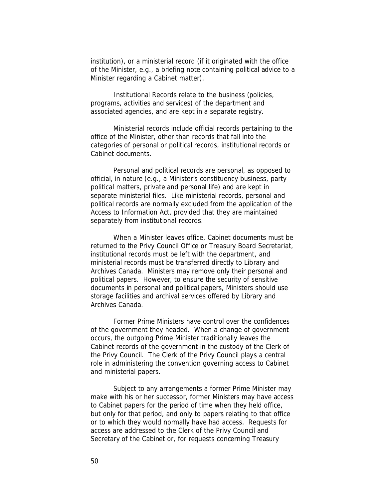institution), or a ministerial record (if it originated with the office of the Minister, e.g., a briefing note containing political advice to a Minister regarding a Cabinet matter).

*Institutional Records* relate to the business (policies, programs, activities and services) of the department and associated agencies, and are kept in a separate registry.

*Ministerial records* include official records pertaining to the office of the Minister, other than records that fall into the categories of personal or political records, institutional records or Cabinet documents.

*Personal and political records* are personal, as opposed to official, in nature (e.g., a Minister's constituency business, party political matters, private and personal life) and are kept in separate ministerial files. Like ministerial records, personal and political records are normally excluded from the application of the *Access to Information Act*, provided that they are maintained separately from institutional records.

When a Minister leaves office, Cabinet documents must be returned to the Privy Council Office or Treasury Board Secretariat, institutional records must be left with the department, and ministerial records must be transferred directly to Library and Archives Canada. Ministers may remove only their personal and political papers. However, to ensure the security of sensitive documents in personal and political papers, Ministers should use storage facilities and archival services offered by Library and Archives Canada.

Former Prime Ministers have control over the confidences of the government they headed. When a change of government occurs, the outgoing Prime Minister traditionally leaves the Cabinet records of the government in the custody of the Clerk of the Privy Council. The Clerk of the Privy Council plays a central role in administering the convention governing access to Cabinet and ministerial papers.

Subject to any arrangements a former Prime Minister may make with his or her successor, former Ministers may have access to Cabinet papers for the period of time when they held office, but only for that period, and only to papers relating to that office or to which they would normally have had access. Requests for access are addressed to the Clerk of the Privy Council and Secretary of the Cabinet or, for requests concerning Treasury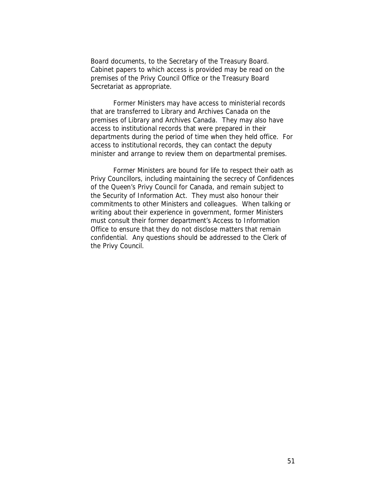Board documents, to the Secretary of the Treasury Board. Cabinet papers to which access is provided may be read on the premises of the Privy Council Office or the Treasury Board Secretariat as appropriate.

Former Ministers may have access to ministerial records that are transferred to Library and Archives Canada on the premises of Library and Archives Canada. They may also have access to institutional records that were prepared in their departments during the period of time when they held office. For access to institutional records, they can contact the deputy minister and arrange to review them on departmental premises.

Former Ministers are bound for life to respect their oath as Privy Councillors, including maintaining the secrecy of Confidences of the Queen's Privy Council for Canada, and remain subject to the *Security of Information Act*. They must also honour their commitments to other Ministers and colleagues. When talking or writing about their experience in government, former Ministers must consult their former department's Access to Information Office to ensure that they do not disclose matters that remain confidential. Any questions should be addressed to the Clerk of the Privy Council.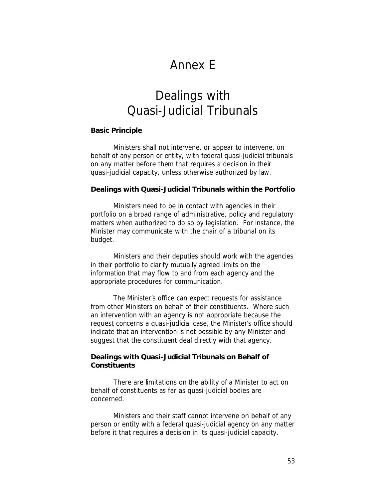### Annex E

## Dealings with Quasi-Judicial Tribunals

#### **Basic Principle**

Ministers shall not intervene, or appear to intervene, on behalf of any person or entity, with federal quasi-judicial tribunals on any matter before them that requires a decision in their quasi-judicial capacity, unless otherwise authorized by law.

**Dealings with Quasi-Judicial Tribunals within the Portfolio**

Ministers need to be in contact with agencies in their portfolio on a broad range of administrative, policy and regulatory matters when authorized to do so by legislation. For instance, the Minister may communicate with the chair of a tribunal on its budget.

Ministers and their deputies should work with the agencies in their portfolio to clarify mutually agreed limits on the information that may flow to and from each agency and the appropriate procedures for communication.

The Minister's office can expect requests for assistance from other Ministers on behalf of their constituents. Where such an intervention with an agency is not appropriate because the request concerns a quasi-judicial case, the Minister's office should indicate that an intervention is not possible by any Minister and suggest that the constituent deal directly with that agency.

**Dealings with Quasi-Judicial Tribunals on Behalf of Constituents**

There are limitations on the ability of a Minister to act on behalf of constituents as far as quasi-judicial bodies are concerned.

Ministers and their staff cannot intervene on behalf of any person or entity with a federal quasi-judicial agency on any matter before it that requires a decision in its quasi-judicial capacity.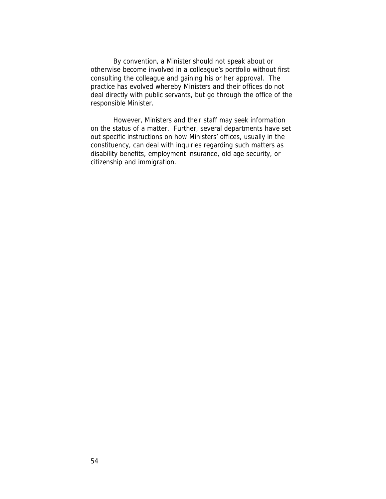By convention, a Minister should not speak about or otherwise become involved in a colleague's portfolio without first consulting the colleague and gaining his or her approval. The practice has evolved whereby Ministers and their offices do not deal directly with public servants, but go through the office of the responsible Minister.

However, Ministers and their staff may seek information on the status of a matter. Further, several departments have set out specific instructions on how Ministers' offices, usually in the constituency, can deal with inquiries regarding such matters as disability benefits, employment insurance, old age security, or citizenship and immigration.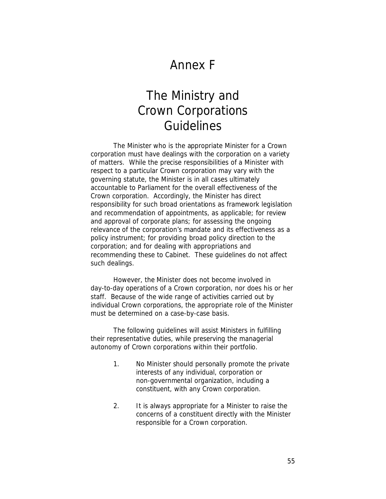## Annex F

## The Ministry and Crown Corporations Guidelines

The Minister who is the appropriate Minister for a Crown corporation must have dealings with the corporation on a variety of matters. While the precise responsibilities of a Minister with respect to a particular Crown corporation may vary with the governing statute, the Minister is in all cases ultimately accountable to Parliament for the overall effectiveness of the Crown corporation. Accordingly, the Minister has direct responsibility for such broad orientations as framework legislation and recommendation of appointments, as applicable; for review and approval of corporate plans; for assessing the ongoing relevance of the corporation's mandate and its effectiveness as a policy instrument; for providing broad policy direction to the corporation; and for dealing with appropriations and recommending these to Cabinet. These guidelines do not affect such dealings.

However, the Minister does not become involved in day-to-day operations of a Crown corporation, nor does his or her staff. Because of the wide range of activities carried out by individual Crown corporations, the appropriate role of the Minister must be determined on a case-by-case basis.

The following guidelines will assist Ministers in fulfilling their representative duties, while preserving the managerial autonomy of Crown corporations within their portfolio.

- 1. No Minister should personally promote the private interests of any individual, corporation or non-governmental organization, including a constituent, with any Crown corporation.
- 2. It is always appropriate for a Minister to raise the concerns of a constituent directly with the Minister responsible for a Crown corporation.